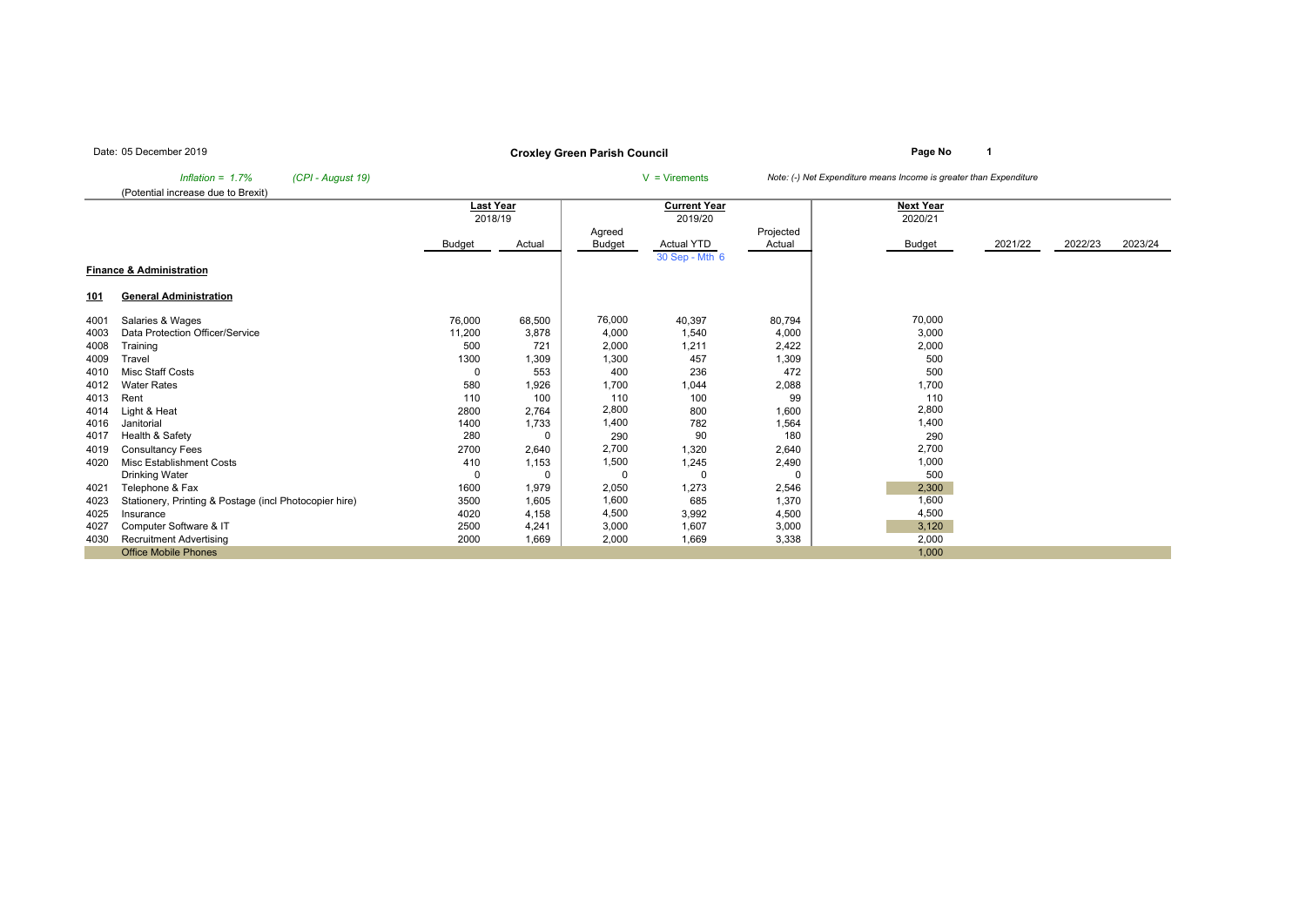## **Page No <sup>1</sup> Croxley Green Parish Council**

*Inflation = 1.7% (CPI - August 19)* <sup>V</sup> = Virements *Note: (-) Net Expenditure means Income is greater than Expenditure*

(Potential increase due to Brexit)

|              | , otomaa moroado aad to Droxit                         |             |          |          |                     |                |                  |         |         |         |
|--------------|--------------------------------------------------------|-------------|----------|----------|---------------------|----------------|------------------|---------|---------|---------|
|              |                                                        | Last Year   |          |          | <b>Current Year</b> |                | <b>Next Year</b> |         |         |         |
|              |                                                        | 2018/19     |          |          | 2019/20             |                | 2020/21          |         |         |         |
|              |                                                        |             |          | Agreed   |                     | Projected      |                  |         |         |         |
|              |                                                        | Budget      | Actual   | Budget   | <b>Actual YTD</b>   | Actual         | Budget           | 2021/22 | 2022/23 | 2023/24 |
|              |                                                        |             |          |          | 30 Sep - Mth 6      |                |                  |         |         |         |
|              | <b>Finance &amp; Administration</b>                    |             |          |          |                     |                |                  |         |         |         |
|              |                                                        |             |          |          |                     |                |                  |         |         |         |
| <u>101</u>   | <b>General Administration</b>                          |             |          |          |                     |                |                  |         |         |         |
| 4001         | Salaries & Wages                                       | 76,000      | 68,500   | 76,000   | 40,397              | 80,794         | 70,000           |         |         |         |
| 4003         | Data Protection Officer/Service                        | 11,200      | 3,878    | 4,000    | 1,540               | 4,000          | 3,000            |         |         |         |
| 4008         | Training                                               | 500         | 721      | 2,000    | 1,211               | 2,422          | 2,000            |         |         |         |
| 4009         | Travel                                                 | 1300        | 1,309    | 1,300    | 457                 | 1,309          | 500              |         |         |         |
| 4010         | <b>Misc Staff Costs</b>                                | 0           | 553      | 400      | 236                 | 472            | 500              |         |         |         |
| 4012         | <b>Water Rates</b>                                     | 580         | 1,926    | 1,700    | 1,044               |                | 1,700            |         |         |         |
| 4013         | Rent                                                   | 110         | 100      | 110      | 100                 | 2,088<br>99    | 110              |         |         |         |
|              |                                                        | 2800        | 2,764    | 2,800    | 800                 |                | 2,800            |         |         |         |
| 4014<br>4016 | Light & Heat<br>Janitorial                             |             |          | 1,400    | 782                 | 1,600<br>1,564 | 1,400            |         |         |         |
|              | Health & Safety                                        | 1400<br>280 | 1,733    | 290      | 90                  | 180            | 290              |         |         |         |
| 4017         |                                                        |             | 0        |          |                     |                |                  |         |         |         |
| 4019         | <b>Consultancy Fees</b>                                | 2700        | 2,640    | 2,700    | 1,320               | 2,640          | 2,700            |         |         |         |
| 4020         | Misc Establishment Costs                               | 410         | 1,153    | 1,500    | 1,245               | 2,490          | 1,000            |         |         |         |
|              | Drinking Water                                         | $\Omega$    | $\Omega$ | $\Omega$ | $\Omega$            |                | 500              |         |         |         |
| 4021         | Telephone & Fax                                        | 1600        | 1,979    | 2,050    | 1,273               | 2,546          | 2,300            |         |         |         |
| 4023         | Stationery, Printing & Postage (incl Photocopier hire) | 3500        | 1,605    | 1,600    | 685                 | 1,370          | 1,600            |         |         |         |
| 4025         | Insurance                                              | 4020        | 4,158    | 4,500    | 3,992               | 4,500          | 4,500            |         |         |         |
| 4027         | Computer Software & IT                                 | 2500        | 4,241    | 3,000    | 1,607               | 3,000          | 3,120            |         |         |         |
| 4030         | <b>Recruitment Advertising</b>                         | 2000        | 1,669    | 2,000    | 1,669               | 3,338          | 2,000            |         |         |         |
|              | <b>Office Mobile Phones</b>                            |             |          |          |                     |                | 1,000            |         |         |         |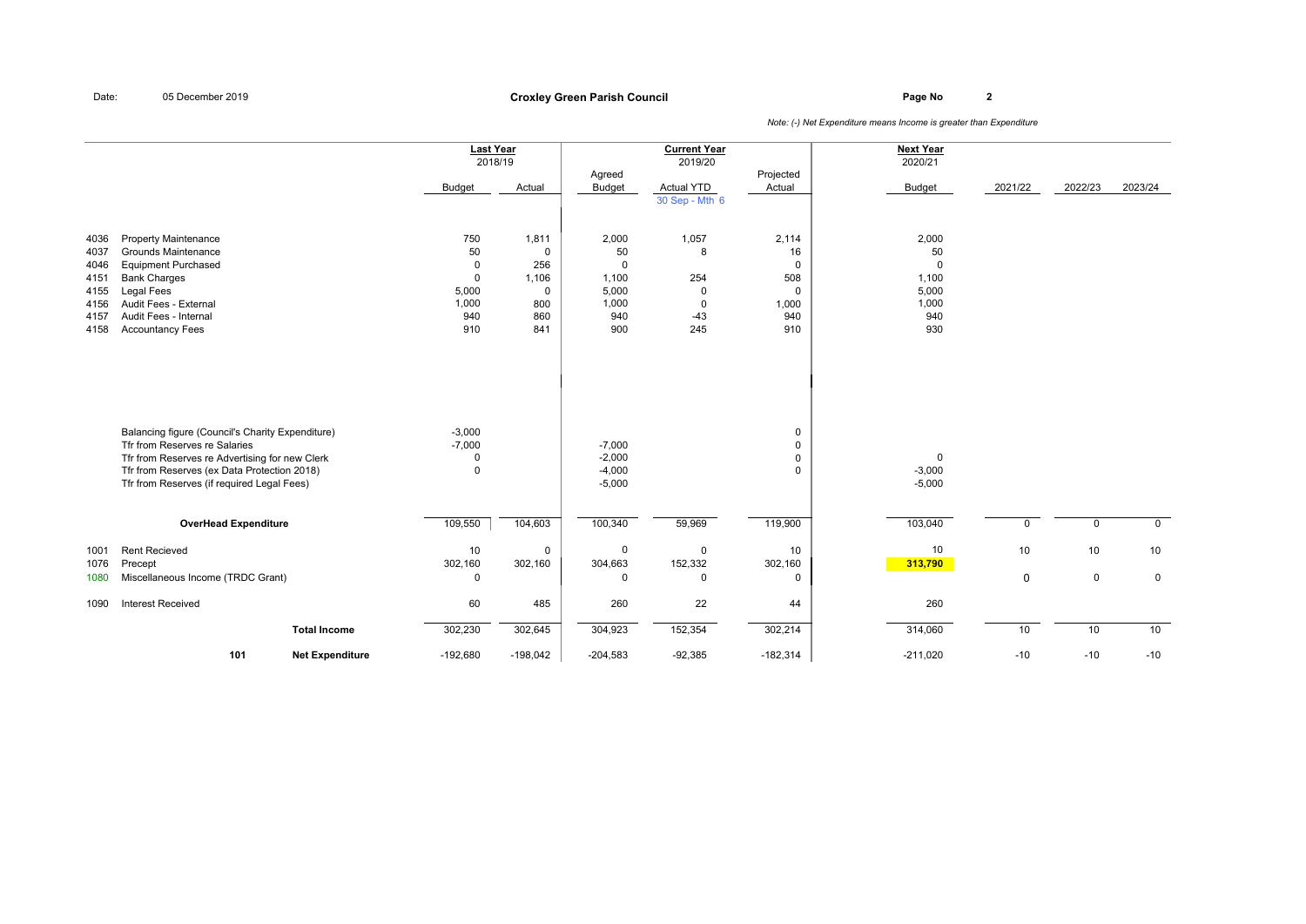## **Page No <sup>2</sup> Croxley Green Parish Council**

|                                                              |                                                                                                                                                                                                                                  | <b>Last Year</b><br>2018/19<br><b>Budget</b>        | Actual                                                                   | Agreed<br><b>Budget</b>                                             | <b>Current Year</b><br>2019/20<br>Actual YTD          | Projected<br>Actual                                 | <b>Next Year</b><br>2020/21<br><b>Budget</b>                        | 2021/22  | 2022/23        | 2023/24        |
|--------------------------------------------------------------|----------------------------------------------------------------------------------------------------------------------------------------------------------------------------------------------------------------------------------|-----------------------------------------------------|--------------------------------------------------------------------------|---------------------------------------------------------------------|-------------------------------------------------------|-----------------------------------------------------|---------------------------------------------------------------------|----------|----------------|----------------|
|                                                              |                                                                                                                                                                                                                                  |                                                     |                                                                          |                                                                     | 30 Sep - Mth 6                                        |                                                     |                                                                     |          |                |                |
| 4036<br>4037<br>4046<br>4151<br>4155<br>4156<br>4157<br>4158 | <b>Property Maintenance</b><br>Grounds Maintenance<br><b>Equipment Purchased</b><br><b>Bank Charges</b><br>Legal Fees<br>Audit Fees - External<br>Audit Fees - Internal<br><b>Accountancy Fees</b>                               | 750<br>50<br>0<br>0<br>5,000<br>1,000<br>940<br>910 | 1,811<br>$\mathbf 0$<br>256<br>1,106<br>$\mathbf 0$<br>800<br>860<br>841 | 2,000<br>50<br>$\mathbf 0$<br>1,100<br>5,000<br>1,000<br>940<br>900 | 1,057<br>8<br>254<br>0<br>$\mathsf 0$<br>$-43$<br>245 | 2,114<br>16<br>0<br>508<br>0<br>1,000<br>940<br>910 | 2,000<br>50<br>$\mathbf 0$<br>1,100<br>5,000<br>1,000<br>940<br>930 |          |                |                |
|                                                              | Balancing figure (Council's Charity Expenditure)<br>Tfr from Reserves re Salaries<br>Tfr from Reserves re Advertising for new Clerk<br>Tfr from Reserves (ex Data Protection 2018)<br>Tfr from Reserves (if required Legal Fees) | $-3,000$<br>$-7,000$<br>0<br>$\mathbf 0$            |                                                                          | $-7,000$<br>$-2,000$<br>$-4,000$<br>$-5,000$                        |                                                       | 0<br>0<br>0<br>$\Omega$                             | $\mathbf 0$<br>$-3,000$<br>$-5,000$                                 |          |                |                |
|                                                              | <b>OverHead Expenditure</b>                                                                                                                                                                                                      | 109,550                                             | 104,603                                                                  | 100,340                                                             | 59,969                                                | 119,900                                             | 103,040                                                             | $\Omega$ | $\overline{0}$ | $\overline{0}$ |
|                                                              |                                                                                                                                                                                                                                  |                                                     |                                                                          |                                                                     |                                                       |                                                     |                                                                     |          |                |                |
| 1001<br>1076                                                 | <b>Rent Recieved</b><br>Precept                                                                                                                                                                                                  | 10<br>302,160                                       | $\mathbf 0$<br>302,160                                                   | $\mathbf 0$<br>304,663                                              | $\mathbf 0$<br>152,332                                | 10<br>302,160                                       | 10<br>313,790                                                       | 10       | 10             | 10             |
| 1080                                                         | Miscellaneous Income (TRDC Grant)                                                                                                                                                                                                | 0                                                   |                                                                          | $\Omega$                                                            | $\mathbf 0$                                           | $\Omega$                                            |                                                                     | 0        | $\mathbf 0$    | $\mathbf 0$    |
| 1090                                                         | <b>Interest Received</b>                                                                                                                                                                                                         | 60                                                  | 485                                                                      | 260                                                                 | 22                                                    | 44                                                  | 260                                                                 |          |                |                |
|                                                              | <b>Total Income</b>                                                                                                                                                                                                              | 302,230                                             | 302,645                                                                  | 304,923                                                             | 152,354                                               | 302,214                                             | 314,060                                                             | 10       | 10             | 10             |
|                                                              | 101<br><b>Net Expenditure</b>                                                                                                                                                                                                    | $-192,680$                                          | $-198,042$                                                               | $-204,583$                                                          | $-92,385$                                             | $-182,314$                                          | $-211,020$                                                          | $-10$    | $-10$          | $-10$          |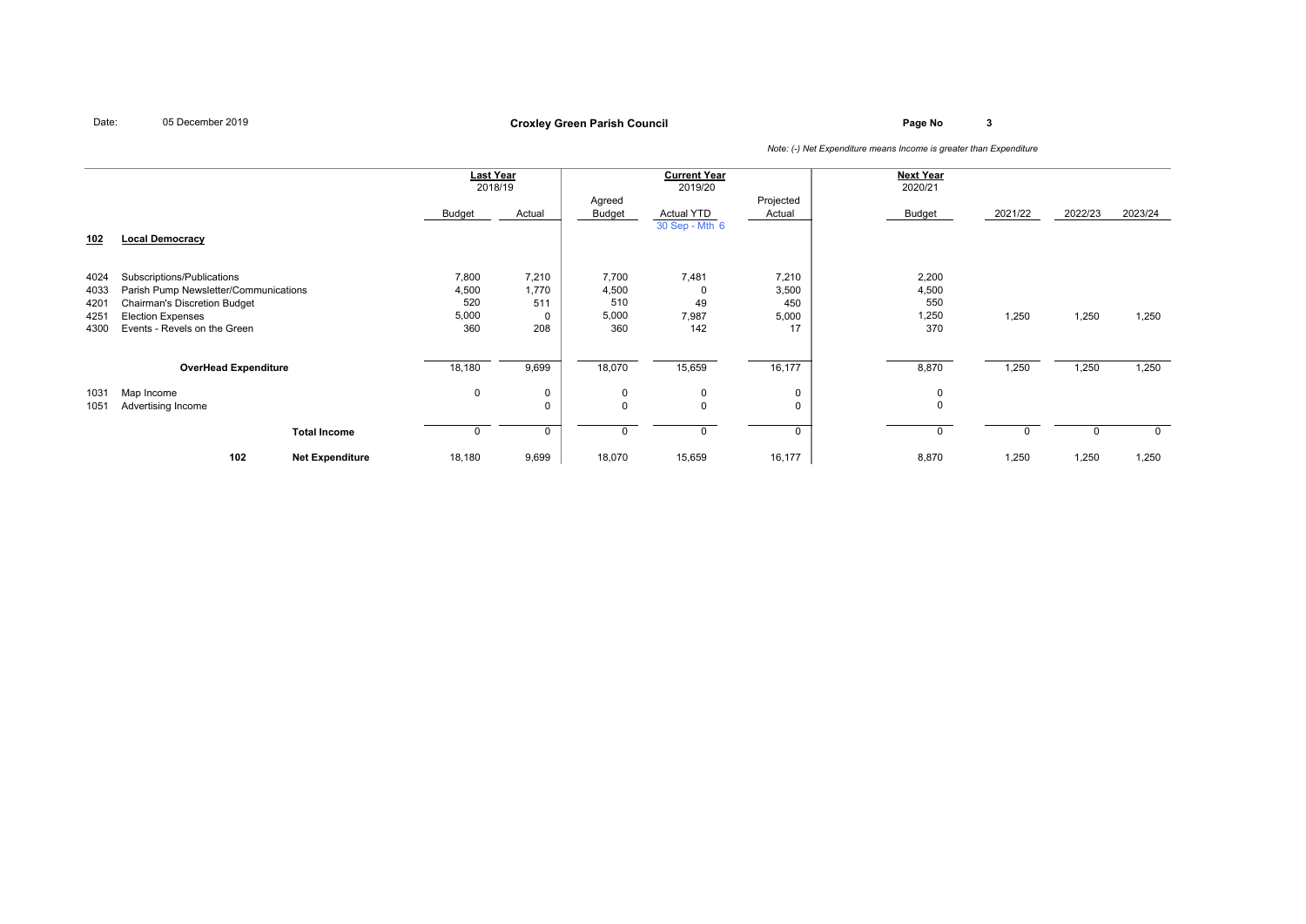# **Page No <sup>3</sup> Croxley Green Parish Council**

|                                      |                                                                                                                                                                        |                        | <b>Last Year</b>                      | 2018/19                      |                                       | <b>Current Year</b><br>2019/20      |                                      | <b>Next Year</b><br>2020/21           |         |         |          |
|--------------------------------------|------------------------------------------------------------------------------------------------------------------------------------------------------------------------|------------------------|---------------------------------------|------------------------------|---------------------------------------|-------------------------------------|--------------------------------------|---------------------------------------|---------|---------|----------|
| <u>102</u>                           | <b>Local Democracy</b>                                                                                                                                                 |                        | <b>Budget</b>                         | Actual                       | Agreed<br>Budget                      | <b>Actual YTD</b><br>30 Sep - Mth 6 | Projected<br>Actual                  | Budget                                | 2021/22 | 2022/23 | 2023/24  |
| 4024<br>4033<br>4201<br>4251<br>4300 | Subscriptions/Publications<br>Parish Pump Newsletter/Communications<br><b>Chairman's Discretion Budget</b><br><b>Election Expenses</b><br>Events - Revels on the Green |                        | 7,800<br>4,500<br>520<br>5,000<br>360 | 7,210<br>1,770<br>511<br>208 | 7,700<br>4,500<br>510<br>5,000<br>360 | 7,481<br>0<br>49<br>7,987<br>142    | 7,210<br>3,500<br>450<br>5,000<br>17 | 2,200<br>4,500<br>550<br>1,250<br>370 | 1,250   | 1,250   | 1,250    |
|                                      | <b>OverHead Expenditure</b>                                                                                                                                            |                        | 18,180                                | 9,699                        | 18,070                                | 15,659                              | 16,177                               | 8,870                                 | 1,250   | 1,250   | 1,250    |
| 1031<br>1051                         | Map Income<br>Advertising Income                                                                                                                                       |                        | 0                                     | 0<br>0                       | 0<br>$\Omega$                         | 0<br>$\mathbf 0$                    | 0<br>0                               | 0<br>$\mathbf 0$                      |         |         |          |
|                                      |                                                                                                                                                                        | <b>Total Income</b>    |                                       | 0                            |                                       | $\mathbf 0$                         | $\Omega$                             | $\mathbf 0$                           |         | 0       | $\Omega$ |
|                                      | 102                                                                                                                                                                    | <b>Net Expenditure</b> | 18,180                                | 9,699                        | 18,070                                | 15,659                              | 16,177                               | 8,870                                 | 1,250   | 1,250   | 1,250    |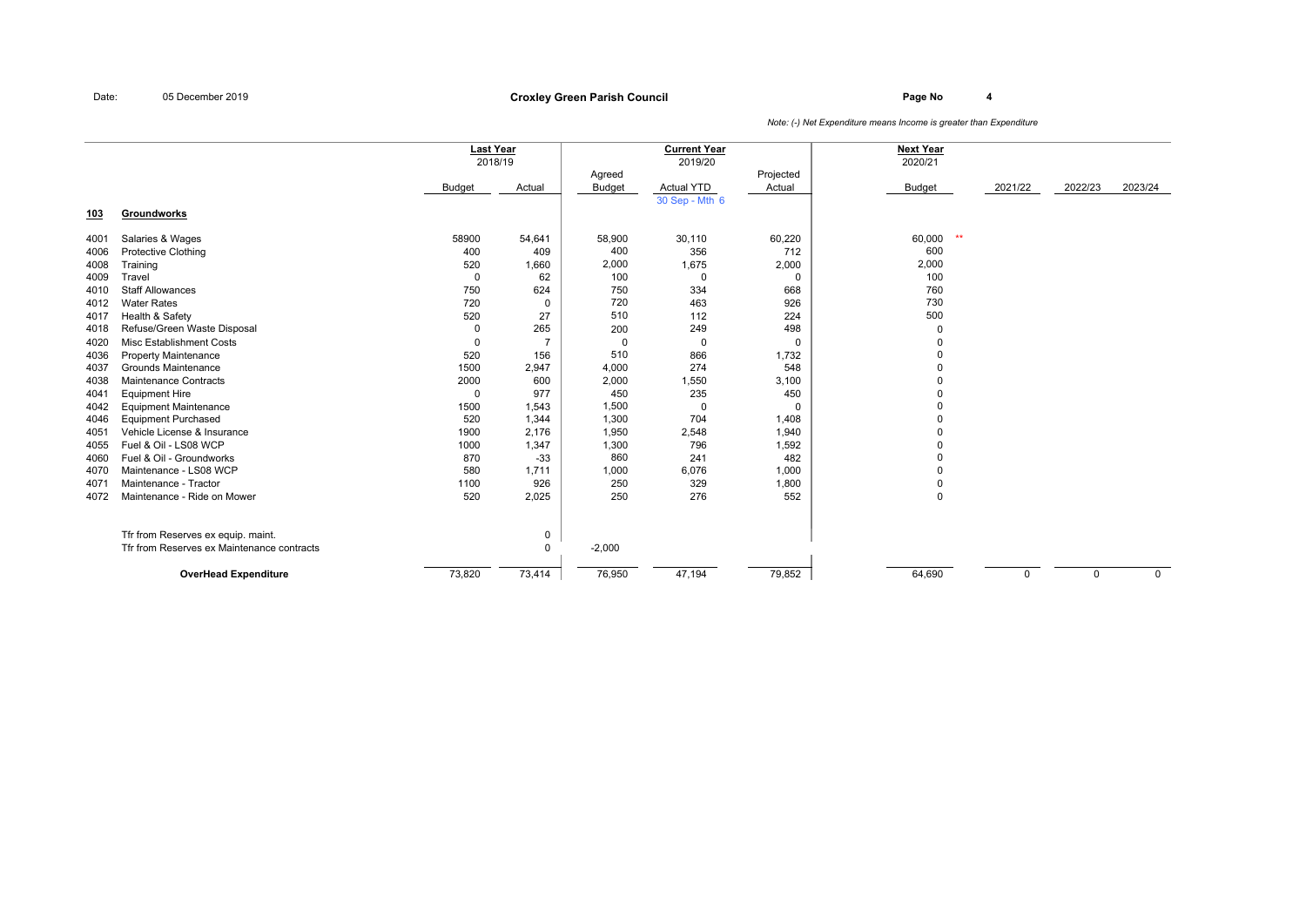## **Page No <sup>4</sup> Croxley Green Parish Council**

|      |                                            | Last Year    |                |               | <b>Current Year</b>                 |             | <b>Next Year</b> |          |             |             |
|------|--------------------------------------------|--------------|----------------|---------------|-------------------------------------|-------------|------------------|----------|-------------|-------------|
|      |                                            | 2018/19      |                |               | 2019/20                             |             | 2020/21          |          |             |             |
|      |                                            |              |                | Agreed        |                                     | Projected   |                  |          |             |             |
|      |                                            | Budget       | Actual         | <b>Budget</b> | <b>Actual YTD</b><br>30 Sep - Mth 6 | Actual      | <b>Budget</b>    | 2021/22  | 2022/23     | 2023/24     |
| 103  | Groundworks                                |              |                |               |                                     |             |                  |          |             |             |
|      |                                            |              |                |               |                                     |             |                  |          |             |             |
| 4001 | Salaries & Wages                           | 58900        | 54,641         | 58,900        | 30,110                              | 60,220      | 60,000<br>$***$  |          |             |             |
| 4006 | Protective Clothing                        | 400          | 409            | 400           | 356                                 | 712         | 600              |          |             |             |
| 4008 | Training                                   | 520          | 1,660          | 2,000         | 1,675                               | 2,000       | 2,000            |          |             |             |
| 4009 | Travel                                     | $\mathbf{0}$ | 62             | 100           | $\Omega$                            | $\mathbf 0$ | 100              |          |             |             |
| 4010 | <b>Staff Allowances</b>                    | 750          | 624            | 750           | 334                                 | 668         | 760              |          |             |             |
| 4012 | <b>Water Rates</b>                         | 720          | 0              | 720           | 463                                 | 926         | 730              |          |             |             |
| 4017 | Health & Safety                            | 520          | 27             | 510           | 112                                 | 224         | 500              |          |             |             |
| 4018 | Refuse/Green Waste Disposal                | $\Omega$     | 265            | 200           | 249                                 | 498         | $\mathbf 0$      |          |             |             |
| 4020 | <b>Misc Establishment Costs</b>            | $\Omega$     | $\overline{7}$ | 0             | $\mathbf 0$                         | $\Omega$    | $\Omega$         |          |             |             |
| 4036 | <b>Property Maintenance</b>                | 520          | 156            | 510           | 866                                 | 1,732       | $\Omega$         |          |             |             |
| 4037 | Grounds Maintenance                        | 1500         | 2,947          | 4,000         | 274                                 | 548         | $\Omega$         |          |             |             |
| 4038 | <b>Maintenance Contracts</b>               | 2000         | 600            | 2,000         | 1,550                               | 3,100       | $\Omega$         |          |             |             |
| 4041 | <b>Equipment Hire</b>                      | $\mathbf{0}$ | 977            | 450           | 235                                 | 450         | $\Omega$         |          |             |             |
| 4042 | <b>Equipment Maintenance</b>               | 1500         | 1,543          | 1,500         | $\mathbf 0$                         | $\Omega$    | $\Omega$         |          |             |             |
| 4046 | <b>Equipment Purchased</b>                 | 520          | 1,344          | 1,300         | 704                                 | 1,408       | $\Omega$         |          |             |             |
| 4051 | Vehicle License & Insurance                | 1900         | 2,176          | 1,950         | 2,548                               | 1,940       |                  |          |             |             |
| 4055 | Fuel & Oil - LS08 WCP                      | 1000         | 1,347          | 1,300         | 796                                 | 1,592       | $\Omega$         |          |             |             |
| 4060 | Fuel & Oil - Groundworks                   | 870          | $-33$          | 860           | 241                                 | 482         | $\Omega$         |          |             |             |
| 4070 | Maintenance - LS08 WCP                     | 580          | 1,711          | 1,000         | 6,076                               | 1,000       | $\Omega$         |          |             |             |
| 4071 | Maintenance - Tractor                      | 1100         | 926            | 250           | 329                                 | 1,800       | $\mathbf 0$      |          |             |             |
| 4072 | Maintenance - Ride on Mower                | 520          | 2,025          | 250           | 276                                 | 552         | $\Omega$         |          |             |             |
|      | Tfr from Reserves ex equip. maint.         |              | 0              |               |                                     |             |                  |          |             |             |
|      | Tfr from Reserves ex Maintenance contracts |              | $\mathbf{0}$   | $-2,000$      |                                     |             |                  |          |             |             |
|      | <b>OverHead Expenditure</b>                | 73,820       | 73,414         | 76,950        | 47,194                              | 79,852      | 64,690           | $\Omega$ | $\mathbf 0$ | $\mathbf 0$ |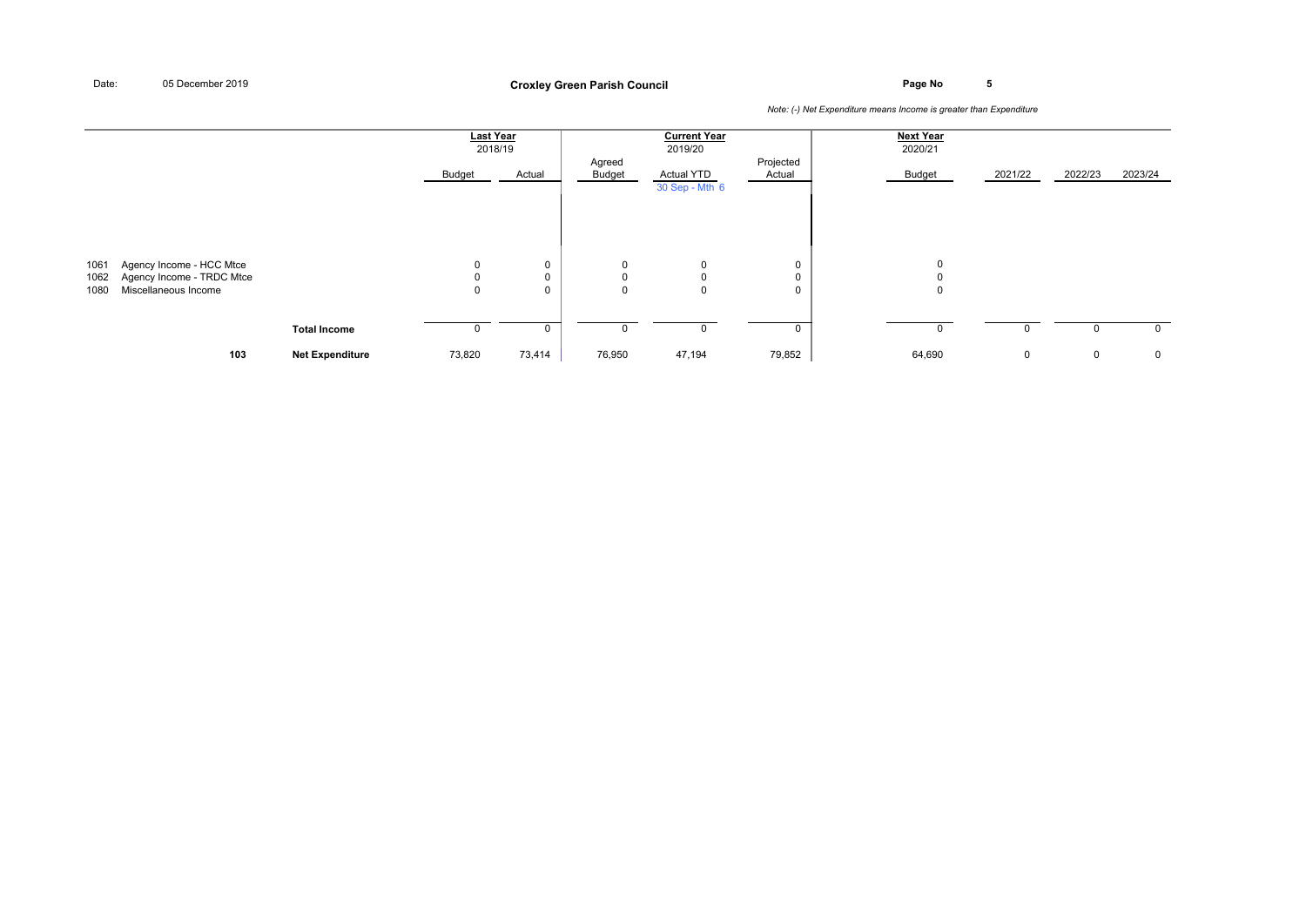**Page No <sup>5</sup> Croxley Green Parish Council**

|                      |                                                                               |                        | <b>Last Year</b><br>2018/19<br>Budget | Actual                | Agreed<br>Budget                          | <b>Current Year</b><br>2019/20<br><b>Actual YTD</b><br>30 Sep - Mth 6 | Projected<br>Actual   | <b>Next Year</b><br>2020/21<br>Budget | 2021/22     | 2022/23 | 2023/24      |
|----------------------|-------------------------------------------------------------------------------|------------------------|---------------------------------------|-----------------------|-------------------------------------------|-----------------------------------------------------------------------|-----------------------|---------------------------------------|-------------|---------|--------------|
| 1061<br>1062<br>1080 | Agency Income - HCC Mtce<br>Agency Income - TRDC Mtce<br>Miscellaneous Income |                        | 0<br>$\mathbf 0$<br>$\mathbf 0$       | 0<br>$\mathbf 0$<br>0 | $\mathbf 0$<br>$\mathsf 0$<br>$\mathbf 0$ | $\mathbf 0$<br>$\mathbf 0$<br>$\mathbf 0$                             | 0<br>0<br>$\mathbf 0$ | 0<br>$\mathbf 0$<br>$\mathbf 0$       |             |         |              |
|                      |                                                                               | <b>Total Income</b>    |                                       | 0                     | 0                                         |                                                                       | 0                     | 0                                     | 0           | 0       | $\mathbf{0}$ |
|                      | 103                                                                           | <b>Net Expenditure</b> | 73,820                                | 73,414                | 76,950                                    | 47,194                                                                | 79,852                | 64,690                                | $\mathbf 0$ | 0       | $\mathbf 0$  |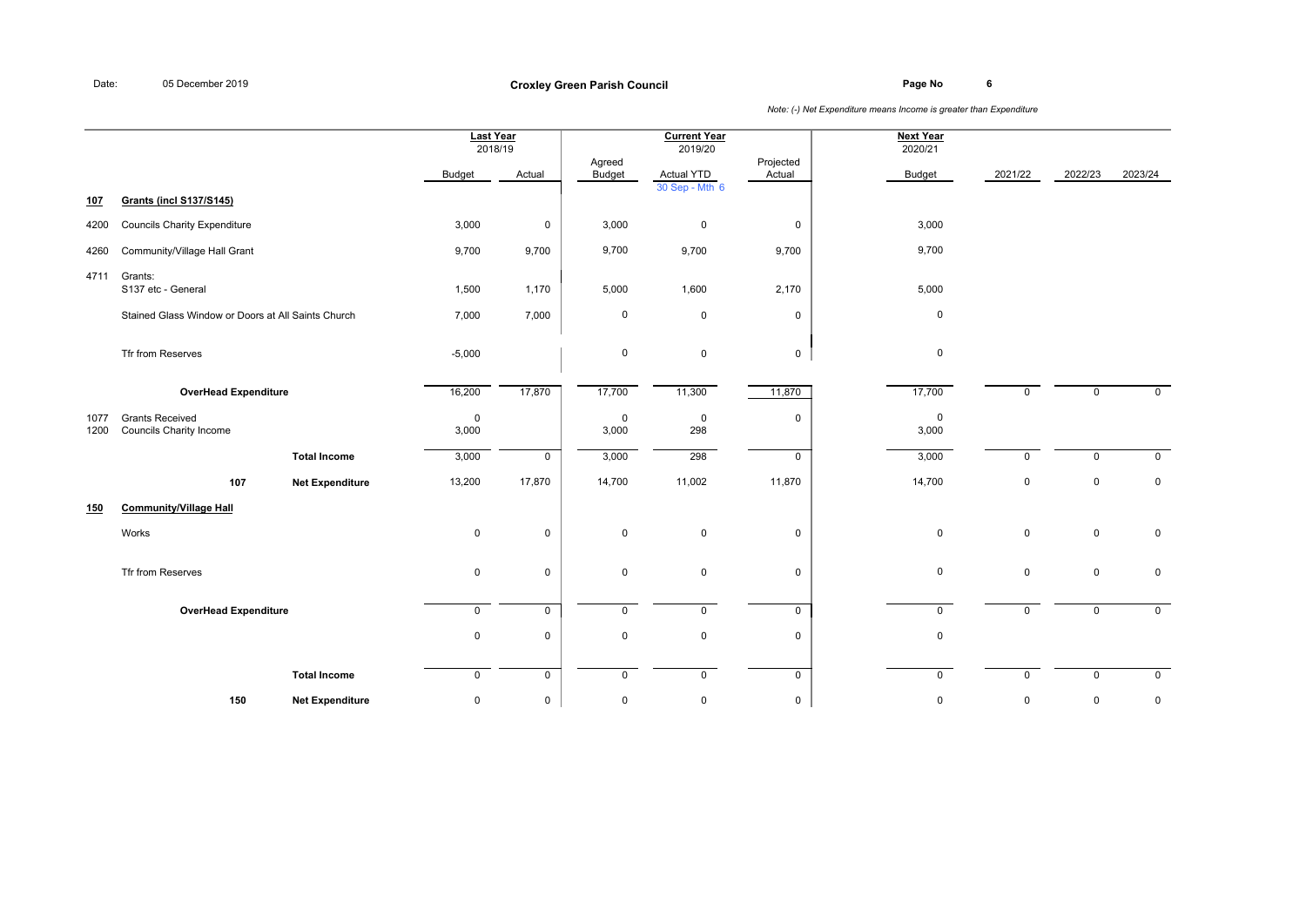**Page No <sup>6</sup> Croxley Green Parish Council**

|              |                                                    |                        | <b>Last Year</b><br>2018/19 |              |                         | <b>Current Year</b><br>2019/20      |                     | <b>Next Year</b><br>2020/21 |             |              |                     |
|--------------|----------------------------------------------------|------------------------|-----------------------------|--------------|-------------------------|-------------------------------------|---------------------|-----------------------------|-------------|--------------|---------------------|
|              |                                                    |                        | Budget                      | Actual       | Agreed<br><b>Budget</b> | <b>Actual YTD</b><br>30 Sep - Mth 6 | Projected<br>Actual | <b>Budget</b>               | 2021/22     | 2022/23      | 2023/24             |
| <u>107</u>   | <b>Grants (incl S137/S145)</b>                     |                        |                             |              |                         |                                     |                     |                             |             |              |                     |
| 4200         | <b>Councils Charity Expenditure</b>                |                        | 3,000                       | $\mathbf 0$  | 3,000                   | $\mathsf 0$                         | $\mathsf 0$         | 3,000                       |             |              |                     |
| 4260         | Community/Village Hall Grant                       |                        | 9,700                       | 9,700        | 9,700                   | 9,700                               | 9,700               | 9,700                       |             |              |                     |
| 4711         | Grants:<br>S137 etc - General                      |                        | 1,500                       | 1,170        | 5,000                   | 1,600                               | 2,170               | 5,000                       |             |              |                     |
|              | Stained Glass Window or Doors at All Saints Church |                        | 7,000                       | 7,000        | $\mathbf 0$             | $\mathsf 0$                         | $\mathbf 0$         | $\mathbf 0$                 |             |              |                     |
|              | Tfr from Reserves                                  |                        | $-5,000$                    |              | $\mathsf 0$             | $\mathbf 0$                         | $\mathbf 0$         | $\mathbf 0$                 |             |              |                     |
|              | <b>OverHead Expenditure</b>                        |                        | 16,200                      | 17,870       | 17,700                  | 11,300                              | 11,870              | 17,700                      | $\mathbf 0$ | $\mathbf 0$  | $\mathbf 0$         |
| 1077<br>1200 | <b>Grants Received</b><br>Councils Charity Income  |                        | $\mathbf 0$<br>3,000        |              | $\mathsf 0$<br>3,000    | $\mathsf 0$<br>298                  | $\mathsf 0$         | $\mathbf 0$<br>3,000        |             |              |                     |
|              |                                                    | <b>Total Income</b>    | 3,000                       | $\mathbf 0$  | 3,000                   | 298                                 | $\mathbf 0$         | 3,000                       | $\Omega$    | $\mathbf 0$  | $\mathbf 0$         |
|              | 107                                                | <b>Net Expenditure</b> | 13,200                      | 17,870       | 14,700                  | 11,002                              | 11,870              | 14,700                      | $\mathsf 0$ | $\mathsf 0$  | $\mathsf{O}\xspace$ |
| 150          | <b>Community/Village Hall</b>                      |                        |                             |              |                         |                                     |                     |                             |             |              |                     |
|              | Works                                              |                        | $\mathbf 0$                 | $\mathbf 0$  | $\mathbf 0$             | $\mathbf 0$                         | $\mathbf 0$         | $\mathbf 0$                 | $\mathbf 0$ | $\mathsf 0$  | 0                   |
|              | Tfr from Reserves                                  |                        | $\mathbf 0$                 | $\mathbf 0$  | $\mathsf 0$             | $\mathbf 0$                         | $\mathsf 0$         | $\mathbf 0$                 | $\mathbf 0$ | $\mathsf 0$  | $\mathsf{O}\xspace$ |
|              | <b>OverHead Expenditure</b>                        |                        | 0                           | 0            | $\mathbf 0$             | $\mathsf{O}$                        | $\mathbf 0$         | $\mathbf 0$                 | $\Omega$    | $\mathbf{0}$ | $\overline{0}$      |
|              |                                                    |                        | $\mathbf 0$                 | $\mathsf{O}$ | $\mathsf 0$             | 0                                   | $\mathsf 0$         | $\mathbf 0$                 |             |              |                     |
|              |                                                    | <b>Total Income</b>    | $\mathbf 0$                 | $\mathbf 0$  | $\mathbf 0$             | $\mathbf 0$                         | $\mathsf{O}$        | $\mathbf 0$                 | $\mathbf 0$ | $\mathbf 0$  | $\mathsf{O}$        |
|              | 150                                                | <b>Net Expenditure</b> | $\mathbf 0$                 | $\mathsf{O}$ | $\mathsf 0$             | 0                                   | $\mathsf{O}$        | $\mathbf 0$                 | $\mathbf 0$ | $\mathsf 0$  | $\mathsf{O}\xspace$ |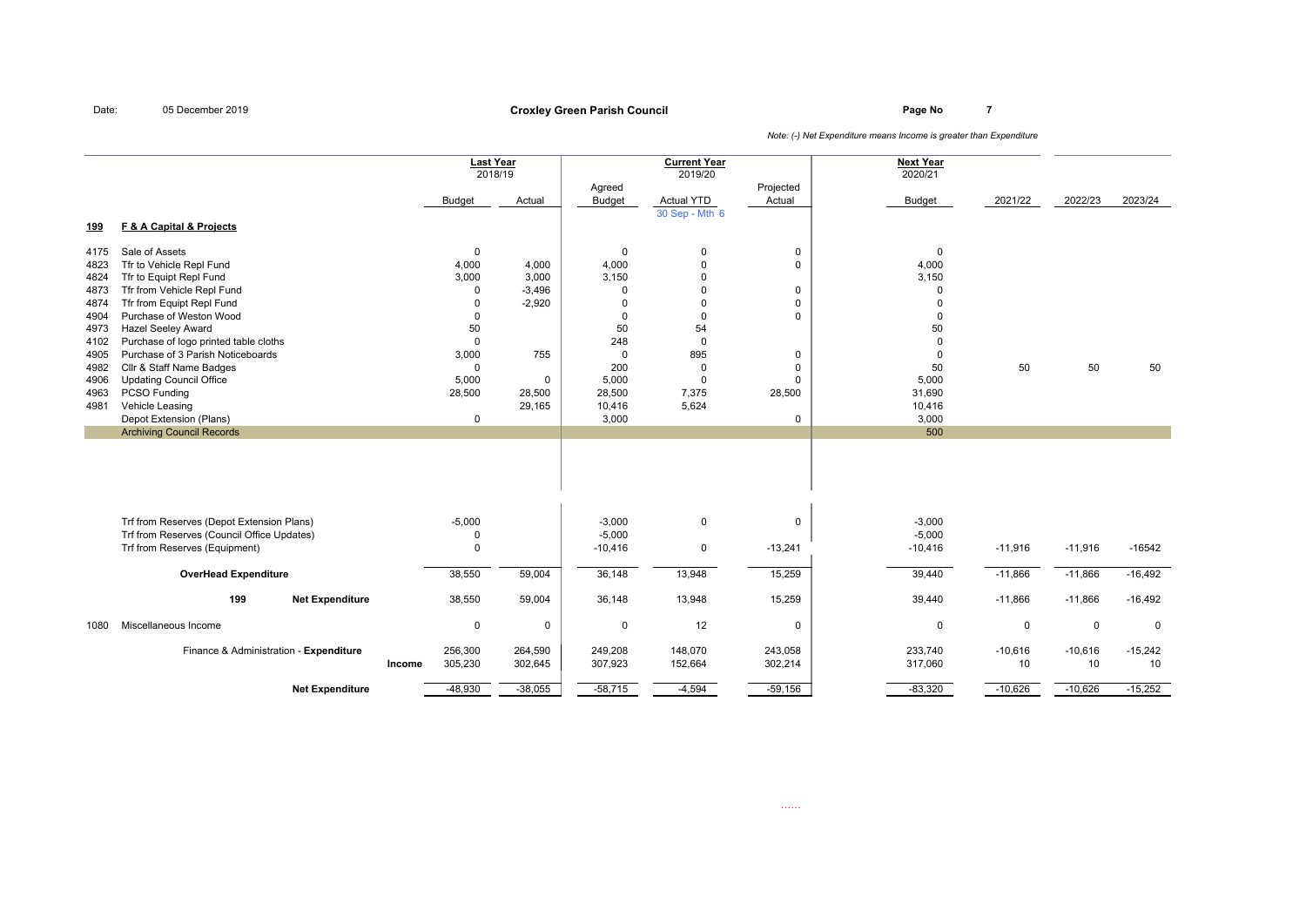## **Page No <sup>7</sup> Croxley Green Parish Council**

|            |                                            |        |               | <b>Last Year</b><br>2018/19 |                         | <b>Current Year</b><br>2019/20 |                     | <b>Next Year</b><br>2020/21 |             |             |             |
|------------|--------------------------------------------|--------|---------------|-----------------------------|-------------------------|--------------------------------|---------------------|-----------------------------|-------------|-------------|-------------|
|            |                                            |        | <b>Budget</b> | Actual                      | Agreed<br><b>Budget</b> | <b>Actual YTD</b>              | Projected<br>Actual | <b>Budget</b>               | 2021/22     | 2022/23     | 2023/24     |
|            |                                            |        |               |                             |                         | 30 Sep - Mth 6                 |                     |                             |             |             |             |
| <u>199</u> | F & A Capital & Projects                   |        |               |                             |                         |                                |                     |                             |             |             |             |
| 4175       | Sale of Assets                             |        | $\mathbf 0$   |                             | $\mathbf 0$             | $\mathbf 0$                    | 0                   | $\mathbf 0$                 |             |             |             |
| 4823       | Tfr to Vehicle Repl Fund                   |        | 4,000         | 4,000                       | 4,000                   | $\mathbf 0$                    | $\mathbf 0$         | 4,000                       |             |             |             |
| 4824       | Tfr to Equipt Repl Fund                    |        | 3,000         | 3,000                       | 3,150                   | $\Omega$                       |                     | 3,150                       |             |             |             |
| 4873       | Tfr from Vehicle Repl Fund                 |        | $\mathbf 0$   | $-3,496$                    | $\Omega$                | $\Omega$                       | 0                   | $\Omega$                    |             |             |             |
| 4874       | Tfr from Equipt Repl Fund                  |        | $\Omega$      | $-2,920$                    | $\Omega$                | $\Omega$                       | $\mathbf 0$         | $\Omega$                    |             |             |             |
| 4904       | Purchase of Weston Wood                    |        | $\Omega$      |                             | $\Omega$                | $\mathbf 0$                    | $\mathbf 0$         | $\Omega$                    |             |             |             |
| 4973       | <b>Hazel Seeley Award</b>                  |        | 50            |                             | 50                      | 54                             |                     | 50                          |             |             |             |
| 4102       | Purchase of logo printed table cloths      |        | $\mathbf 0$   |                             | 248                     | $\mathbf 0$                    |                     | $\mathbf 0$                 |             |             |             |
| 4905       | Purchase of 3 Parish Noticeboards          |        | 3,000         | 755                         | $\mathbf 0$             | 895                            | 0                   | $\mathbf 0$                 |             |             |             |
| 4982       | Cllr & Staff Name Badges                   |        | $\Omega$      |                             | 200                     | 0                              | 0                   | 50                          | 50          | 50          | 50          |
| 4906       | <b>Updating Council Office</b>             |        | 5,000         | $\mathbf 0$                 | 5,000                   | $\mathbf 0$                    | 0                   | 5,000                       |             |             |             |
| 4963       | PCSO Funding                               |        | 28,500        | 28,500                      | 28,500                  | 7,375                          | 28,500              | 31,690                      |             |             |             |
| 4981       | Vehicle Leasing                            |        |               | 29,165                      | 10,416                  | 5,624                          |                     | 10,416                      |             |             |             |
|            | Depot Extension (Plans)                    |        | $\mathbf 0$   |                             | 3,000                   |                                | $\mathbf 0$         | 3,000                       |             |             |             |
|            | <b>Archiving Council Records</b>           |        |               |                             |                         |                                |                     | 500                         |             |             |             |
|            |                                            |        |               |                             |                         |                                |                     |                             |             |             |             |
|            | Trf from Reserves (Depot Extension Plans)  |        | $-5,000$      |                             | $-3,000$                | $\mathsf 0$                    | 0                   | $-3,000$                    |             |             |             |
|            | Trf from Reserves (Council Office Updates) |        | $\Omega$      |                             | $-5,000$                |                                |                     | $-5,000$                    |             |             |             |
|            | Trf from Reserves (Equipment)              |        | $\Omega$      |                             | $-10,416$               | 0                              | $-13,241$           | $-10,416$                   | $-11,916$   | $-11,916$   | $-16542$    |
|            | <b>OverHead Expenditure</b>                |        | 38,550        | 59,004                      | 36,148                  | 13,948                         | 15,259              | 39,440                      | $-11,866$   | $-11,866$   | $-16,492$   |
|            | 199<br><b>Net Expenditure</b>              |        | 38,550        | 59,004                      | 36,148                  | 13,948                         | 15,259              | 39,440                      | $-11,866$   | $-11,866$   | $-16,492$   |
| 1080       | Miscellaneous Income                       |        | 0             | $\mathbf 0$                 | $\mathbf 0$             | 12                             | 0                   | $\mathbf 0$                 | $\mathbf 0$ | $\mathbf 0$ | $\mathbf 0$ |
|            | Finance & Administration - Expenditure     |        | 256,300       | 264,590                     | 249,208                 | 148,070                        | 243,058             | 233,740                     | $-10,616$   | $-10,616$   | $-15,242$   |
|            |                                            | Income | 305,230       | 302,645                     | 307,923                 | 152,664                        | 302,214             | 317,060                     | 10          | 10          | 10          |
|            |                                            |        |               |                             |                         |                                |                     |                             |             |             |             |
|            | <b>Net Expenditure</b>                     |        | $-48,930$     | $-38,055$                   | $-58,715$               | $-4,594$                       | $-59,156$           | $-83,320$                   | $-10,626$   | $-10,626$   | $-15,252$   |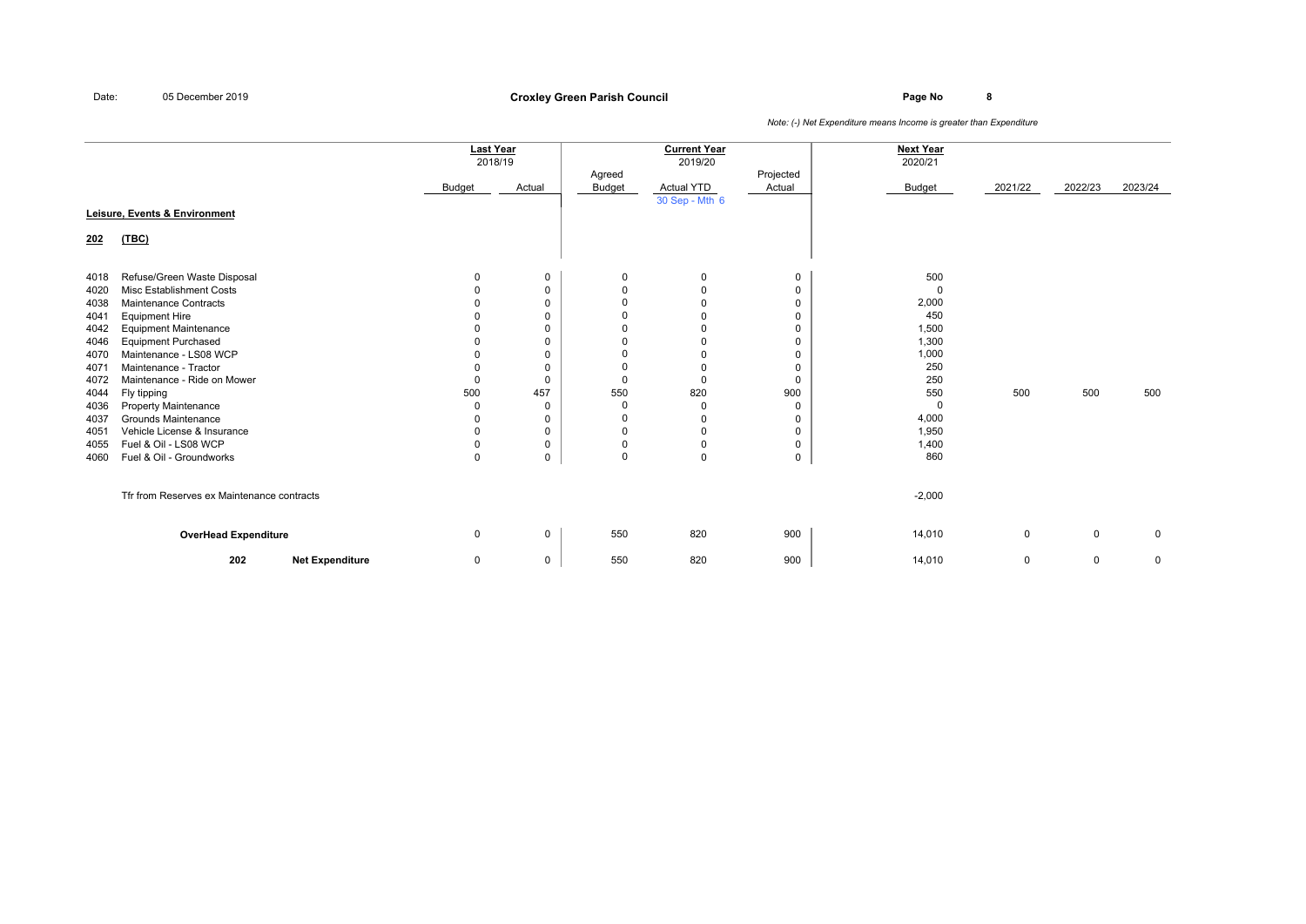**Page No <sup>8</sup> Croxley Green Parish Council**

|              |                                                           | <b>Last Year</b><br>2018/19 |                            |                      | <b>Current Year</b><br>2019/20 |             | <b>Next Year</b><br>2020/21 |          |             |             |
|--------------|-----------------------------------------------------------|-----------------------------|----------------------------|----------------------|--------------------------------|-------------|-----------------------------|----------|-------------|-------------|
|              |                                                           |                             |                            | Agreed               |                                | Projected   |                             |          |             |             |
|              |                                                           | Budget                      | Actual                     | Budget               | Actual YTD<br>30 Sep - Mth 6   | Actual      | Budget                      | 2021/22  | 2022/23     | 2023/24     |
|              | Leisure, Events & Environment                             |                             |                            |                      |                                |             |                             |          |             |             |
| 202          | (TEC)                                                     |                             |                            |                      |                                |             |                             |          |             |             |
| 4018         | Refuse/Green Waste Disposal                               | 0                           | $\mathbf 0$                | 0                    | 0                              | 0           | 500                         |          |             |             |
| 4020         | Misc Establishment Costs                                  |                             | 0                          | $\Omega$             | 0                              | 0           | $\Omega$                    |          |             |             |
| 4038         | Maintenance Contracts                                     |                             | 0                          | $\Omega$             | 0                              | 0           | 2,000                       |          |             |             |
| 4041         | <b>Equipment Hire</b>                                     |                             | $\mathbf 0$                | $\Omega$             | $\mathbf 0$                    | 0           | 450                         |          |             |             |
| 4042         | <b>Equipment Maintenance</b>                              |                             | $\mathbf 0$                | $\Omega$             | $\mathbf 0$                    | 0           | 1,500                       |          |             |             |
| 4046         | <b>Equipment Purchased</b>                                |                             | 0                          | $\Omega$             | 0                              | 0           | 1,300                       |          |             |             |
| 4070         | Maintenance - LS08 WCP                                    |                             | $\mathbf 0$                |                      | $\mathbf 0$                    | 0           | 1,000                       |          |             |             |
| 4071         | Maintenance - Tractor                                     |                             | $\Omega$                   | $\Omega$             | 0                              | 0           | 250                         |          |             |             |
| 4072         | Maintenance - Ride on Mower                               | $\Omega$                    | $\Omega$                   | $\Omega$             | $\mathbf 0$                    | $\mathbf 0$ | 250                         |          |             |             |
| 4044         | Fly tipping                                               | 500                         | 457                        | 550                  | 820                            | 900         | 550                         | 500      | 500         | 500         |
| 4036         | <b>Property Maintenance</b><br><b>Grounds Maintenance</b> | O                           | $\mathbf 0$                | $\Omega$<br>$\Omega$ | 0                              | 0           | 0                           |          |             |             |
| 4037         | Vehicle License & Insurance                               | 0                           | $\mathbf 0$<br>$\mathbf 0$ | $\Omega$             | 0<br>0                         | 0<br>0      | 4,000<br>1,950              |          |             |             |
| 4051         | Fuel & Oil - LS08 WCP                                     | ŋ                           | 0                          | $\Omega$             | 0                              |             | 1,400                       |          |             |             |
| 4055<br>4060 | Fuel & Oil - Groundworks                                  | $\Omega$                    | $\mathbf 0$                | $\Omega$             | $\mathbf 0$                    | 0<br>0      | 860                         |          |             |             |
|              | Tfr from Reserves ex Maintenance contracts                |                             |                            |                      |                                |             | $-2,000$                    |          |             |             |
|              | <b>OverHead Expenditure</b>                               | $\Omega$                    | $\mathbf 0$                | 550                  | 820                            | 900         | 14,010                      | $\Omega$ | $\mathbf 0$ | $\mathbf 0$ |
|              | 202<br><b>Net Expenditure</b>                             | 0                           | 0                          | 550                  | 820                            | 900         | 14,010                      | 0        | $\mathbf 0$ | 0           |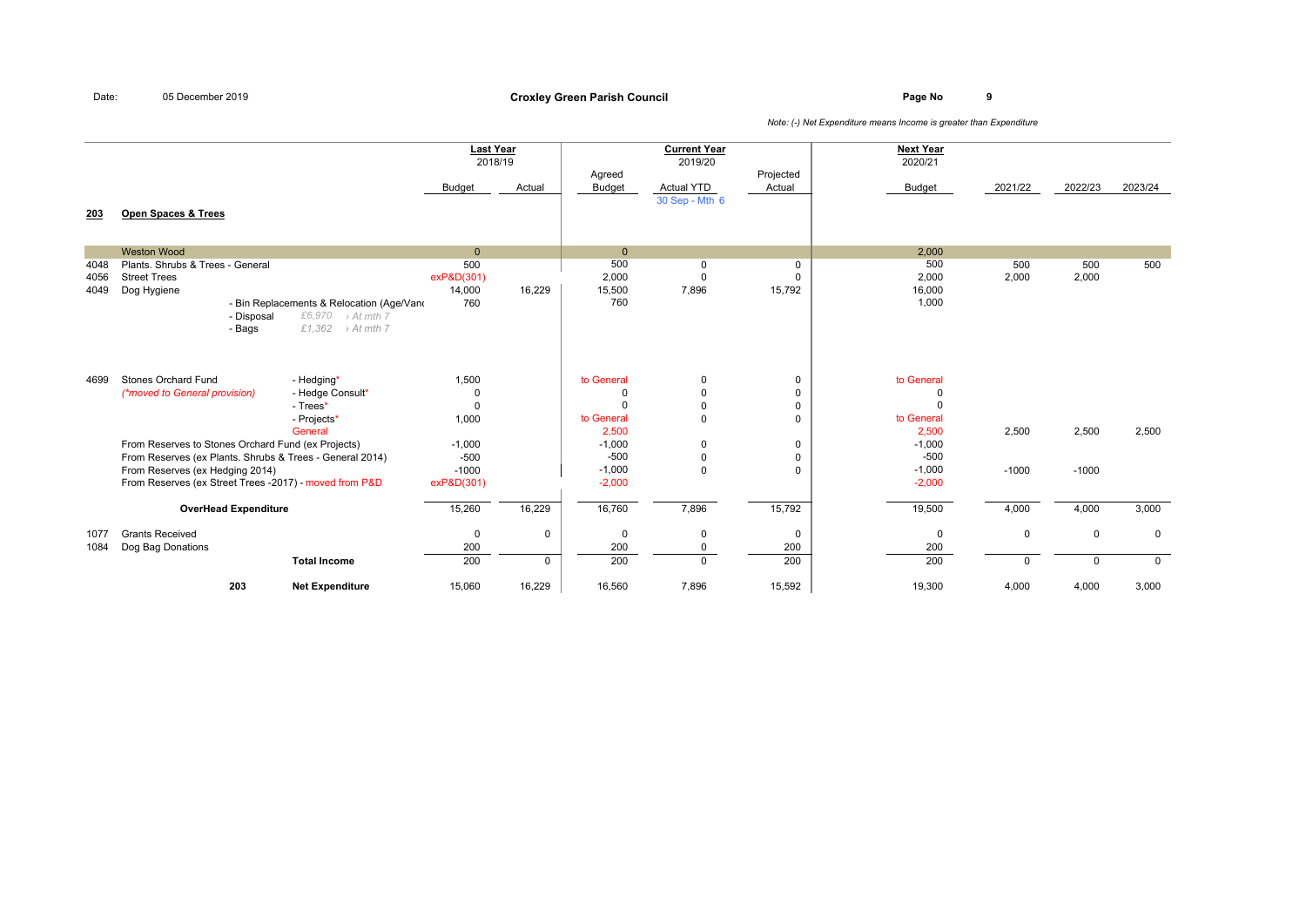**Page No <sup>9</sup> Croxley Green Parish Council**

|                      |                                                                                                                                                       |                                                                                                       | <b>Last Year</b>                                      | 2018/19                     |                                                                | <b>Current Year</b><br>2019/20                                 |                                                            | <b>Next Year</b><br>2020/21                        |                         |                         |                         |
|----------------------|-------------------------------------------------------------------------------------------------------------------------------------------------------|-------------------------------------------------------------------------------------------------------|-------------------------------------------------------|-----------------------------|----------------------------------------------------------------|----------------------------------------------------------------|------------------------------------------------------------|----------------------------------------------------|-------------------------|-------------------------|-------------------------|
|                      |                                                                                                                                                       |                                                                                                       | <b>Budget</b>                                         | Actual                      | Agreed<br><b>Budget</b>                                        | <b>Actual YTD</b>                                              | Projected<br>Actual                                        | <b>Budget</b>                                      | 2021/22                 | 2022/23                 | 2023/24                 |
| 203                  | <b>Open Spaces &amp; Trees</b>                                                                                                                        |                                                                                                       |                                                       |                             |                                                                | 30 Sep - Mth 6                                                 |                                                            |                                                    |                         |                         |                         |
|                      | <b>Weston Wood</b>                                                                                                                                    |                                                                                                       | $\mathbf{0}$                                          |                             | $\mathbf{0}$                                                   |                                                                |                                                            | 2,000                                              |                         |                         |                         |
| 4048<br>4056<br>4049 | Plants. Shrubs & Trees - General<br><b>Street Trees</b><br>Dog Hygiene<br>- Disposal<br>- Bags                                                        | - Bin Replacements & Relocation (Age/Vano<br>£6,970<br>> At mth 7<br>£1,362<br>$\rightarrow$ At mth 7 | 500<br>exP&D(301)<br>14,000<br>760                    | 16.229                      | 500<br>2,000<br>15,500<br>760                                  | 0<br>$\Omega$<br>7,896                                         | 0<br>$\Omega$<br>15,792                                    | 500<br>2,000<br>16,000<br>1,000                    | 500<br>2,000            | 500<br>2,000            | 500                     |
| 4699                 | <b>Stones Orchard Fund</b><br>(*moved to General provision)<br>From Reserves to Stones Orchard Fund (ex Projects)                                     | - Hedging*<br>- Hedge Consult*<br>- Trees*<br>- Projects*<br>General                                  | 1,500<br>$\mathbf 0$<br>$\Omega$<br>1,000<br>$-1,000$ |                             | to General<br>0<br>$\Omega$<br>to General<br>2,500<br>$-1,000$ | $\mathbf 0$<br>$\mathbf 0$<br>$\Omega$<br>$\Omega$<br>$\Omega$ | 0<br>$\mathsf 0$<br>$\mathbf 0$<br>$\Omega$<br>$\mathbf 0$ | to General<br>0<br>to General<br>2,500<br>$-1,000$ | 2,500                   | 2,500                   | 2,500                   |
|                      | From Reserves (ex Plants. Shrubs & Trees - General 2014)<br>From Reserves (ex Hedging 2014)<br>From Reserves (ex Street Trees -2017) - moved from P&D |                                                                                                       | $-500$<br>$-1000$<br>exP&D(301)                       |                             | $-500$<br>$-1,000$<br>$-2,000$                                 | $\mathbf 0$<br>$\Omega$                                        | $\mathbf 0$<br>$\mathbf 0$                                 | $-500$<br>$-1,000$<br>$-2,000$                     | $-1000$                 | $-1000$                 |                         |
|                      | <b>OverHead Expenditure</b>                                                                                                                           |                                                                                                       | 15,260                                                | 16,229                      | 16,760                                                         | 7,896                                                          | 15,792                                                     | 19,500                                             | 4,000                   | 4,000                   | 3,000                   |
| 1077<br>1084         | <b>Grants Received</b><br>Dog Bag Donations                                                                                                           | <b>Total Income</b>                                                                                   | $\mathbf 0$<br>200<br>200                             | $\mathbf 0$<br>$\mathbf{0}$ | $\mathbf 0$<br>200<br>200                                      | $\Omega$<br>$\mathbf 0$<br>$\Omega$                            | $\mathbf 0$<br>200<br>200                                  | $\mathbf 0$<br>200<br>200                          | $\mathbf 0$<br>$\Omega$ | $\mathbf 0$<br>$\Omega$ | $\mathbf 0$<br>$\Omega$ |
|                      | 203                                                                                                                                                   | <b>Net Expenditure</b>                                                                                | 15,060                                                | 16,229                      | 16,560                                                         | 7,896                                                          | 15,592                                                     | 19,300                                             | 4,000                   | 4,000                   | 3,000                   |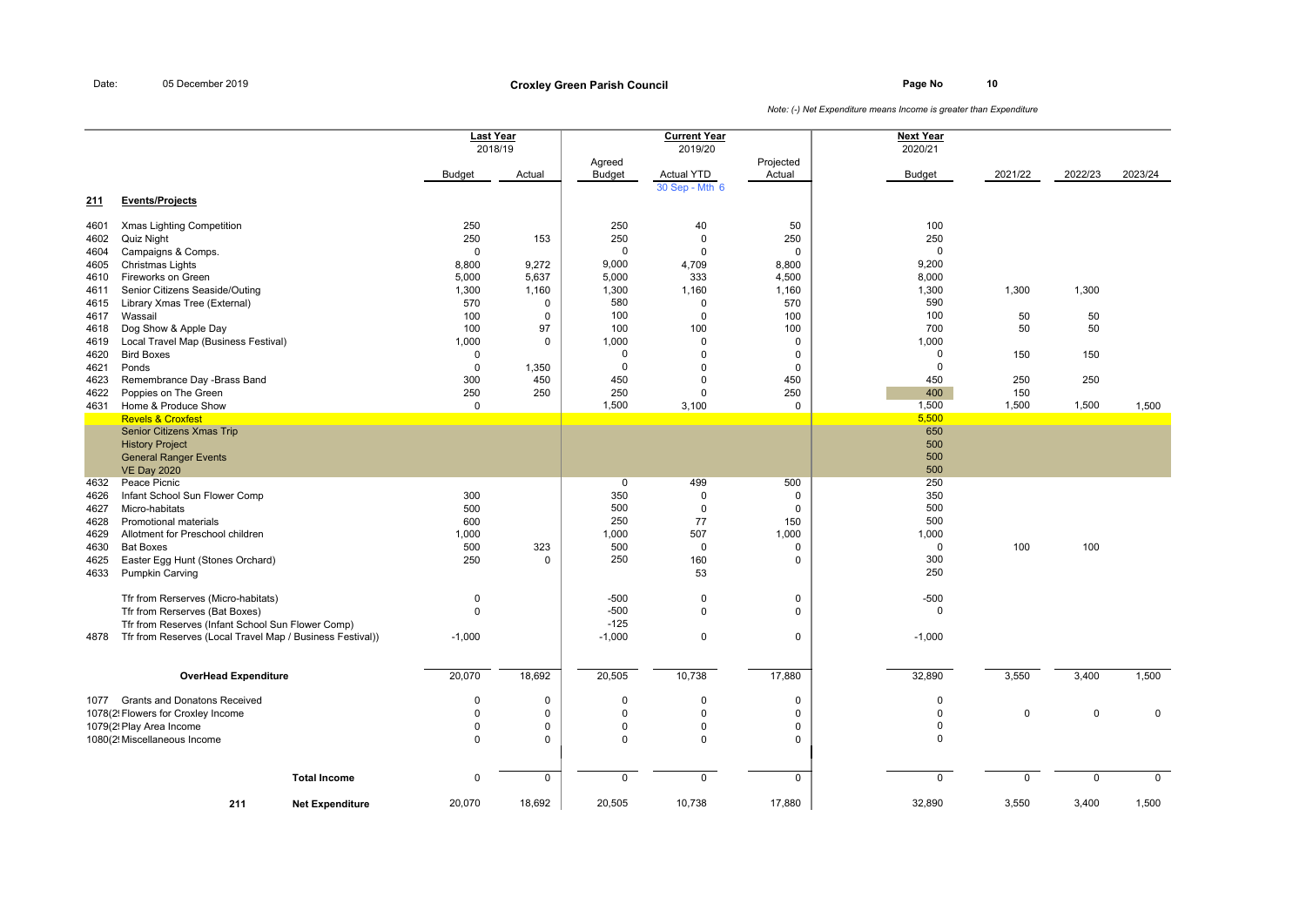**Page No <sup>10</sup> Croxley Green Parish Council**

|      |                                                           | <b>Last Year</b> |             |               | <b>Current Year</b> |             | <b>Next Year</b> |             |             |             |
|------|-----------------------------------------------------------|------------------|-------------|---------------|---------------------|-------------|------------------|-------------|-------------|-------------|
|      |                                                           | 2018/19          |             |               | 2019/20             |             | 2020/21          |             |             |             |
|      |                                                           |                  |             | Agreed        |                     | Projected   |                  |             |             |             |
|      |                                                           | <b>Budget</b>    | Actual      | <b>Budget</b> | <b>Actual YTD</b>   | Actual      | <b>Budget</b>    | 2021/22     | 2022/23     | 2023/24     |
|      |                                                           |                  |             |               | 30 Sep - Mth 6      |             |                  |             |             |             |
| 211  | <b>Events/Projects</b>                                    |                  |             |               |                     |             |                  |             |             |             |
|      |                                                           | 250              |             | 250           |                     |             | 100              |             |             |             |
| 4601 | Xmas Lighting Competition                                 |                  |             |               | 40                  | 50          |                  |             |             |             |
| 4602 | <b>Quiz Night</b>                                         | 250              | 153         | 250           | $\mathbf 0$         | 250         | 250              |             |             |             |
| 4604 | Campaigns & Comps.                                        | $\mathbf 0$      |             | $\mathbf 0$   | $\mathbf 0$         | $\mathbf 0$ | $\mathbf 0$      |             |             |             |
| 4605 | Christmas Lights                                          | 8,800            | 9,272       | 9,000         | 4,709               | 8,800       | 9,200            |             |             |             |
| 4610 | Fireworks on Green                                        | 5,000            | 5,637       | 5,000         | 333                 | 4,500       | 8,000            |             |             |             |
| 4611 | Senior Citizens Seaside/Outing                            | 1,300            | 1,160       | 1,300         | 1,160               | 1,160       | 1,300            | 1,300       | 1,300       |             |
| 4615 | Library Xmas Tree (External)                              | 570              | $\mathbf 0$ | 580           | $\mathbf 0$         | 570         | 590              |             |             |             |
| 4617 | Wassail                                                   | 100              | $\mathbf 0$ | 100           | $\mathbf 0$         | 100         | 100              | 50          | 50          |             |
| 4618 | Dog Show & Apple Day                                      | 100              | 97          | 100           | 100                 | 100         | 700              | 50          | 50          |             |
| 4619 | Local Travel Map (Business Festival)                      | 1,000            | $\mathbf 0$ | 1,000         | 0                   | 0           | 1,000            |             |             |             |
| 4620 | <b>Bird Boxes</b>                                         | $\mathbf 0$      |             | $\mathbf 0$   | $\mathbf 0$         | $\mathbf 0$ | $\mathbf 0$      | 150         | 150         |             |
| 4621 | Ponds                                                     | $\mathbf 0$      | 1,350       | $\mathbf 0$   | $\Omega$            | $\mathbf 0$ | $\mathbf 0$      |             |             |             |
| 4623 | Remembrance Day -Brass Band                               | 300              | 450         | 450           | $\mathbf 0$         | 450         | 450              | 250         | 250         |             |
| 4622 | Poppies on The Green                                      | 250              | 250         | 250           | $\Omega$            | 250         | 400              | 150         |             |             |
| 4631 | Home & Produce Show                                       | $\mathbf 0$      |             | 1,500         | 3,100               | 0           | 1,500            | 1,500       | 1,500       | 1,500       |
|      | <b>Revels &amp; Croxfest</b>                              |                  |             |               |                     |             | 5,500            |             |             |             |
|      | Senior Citizens Xmas Trip                                 |                  |             |               |                     |             | 650              |             |             |             |
|      | <b>History Project</b>                                    |                  |             |               |                     |             | 500              |             |             |             |
|      | <b>General Ranger Events</b>                              |                  |             |               |                     |             | 500              |             |             |             |
|      | <b>VE Day 2020</b>                                        |                  |             |               |                     |             | 500              |             |             |             |
| 4632 | Peace Picnic                                              |                  |             | $\mathbf 0$   | 499                 | 500         | 250              |             |             |             |
| 4626 | Infant School Sun Flower Comp                             | 300              |             | 350           | $\Omega$            | $\Omega$    | 350              |             |             |             |
| 4627 | Micro-habitats                                            | 500              |             | 500           | $\mathbf 0$         | $\mathbf 0$ | 500              |             |             |             |
| 4628 | Promotional materials                                     | 600              |             | 250           | 77                  | 150         | 500              |             |             |             |
| 4629 | Allotment for Preschool children                          | 1,000            |             | 1,000         | 507                 | 1,000       | 1,000            |             |             |             |
| 4630 | <b>Bat Boxes</b>                                          | 500              | 323         | 500           | $\mathbf 0$         | $\mathbf 0$ | $\mathbf 0$      | 100         | 100         |             |
| 4625 | Easter Egg Hunt (Stones Orchard)                          | 250              | $\Omega$    | 250           | 160                 | $\mathbf 0$ | 300              |             |             |             |
| 4633 | Pumpkin Carving                                           |                  |             |               | 53                  |             | 250              |             |             |             |
|      |                                                           |                  |             |               |                     |             |                  |             |             |             |
|      | Tfr from Rerserves (Micro-habitats)                       | $\mathbf 0$      |             | $-500$        | $\mathbf 0$         | $\mathbf 0$ | $-500$           |             |             |             |
|      | Tfr from Rerserves (Bat Boxes)                            | $\mathbf 0$      |             | $-500$        | $\mathbf 0$         | $\mathbf 0$ | $\mathbf 0$      |             |             |             |
|      | Tfr from Reserves (Infant School Sun Flower Comp)         |                  |             | $-125$        |                     |             |                  |             |             |             |
| 4878 | Tfr from Reserves (Local Travel Map / Business Festival)) | $-1,000$         |             | $-1,000$      | $\mathbf 0$         | $\mathbf 0$ | $-1,000$         |             |             |             |
|      |                                                           |                  |             |               |                     |             |                  |             |             |             |
|      |                                                           |                  |             |               |                     |             |                  |             |             |             |
|      | <b>OverHead Expenditure</b>                               | 20,070           | 18,692      | 20,505        | 10,738              | 17,880      | 32,890           | 3,550       | 3,400       | 1,500       |
|      |                                                           |                  |             |               |                     |             |                  |             |             |             |
|      | 1077 Grants and Donatons Received                         | $\mathbf 0$      | $\mathbf 0$ | $\mathbf 0$   | $\Omega$            | $\mathbf 0$ | $\mathbf 0$      |             |             |             |
|      | 1078(2! Flowers for Croxley Income                        | $\mathbf 0$      | $\mathbf 0$ | $\mathbf 0$   | $\mathbf 0$         | $\mathsf 0$ | $\pmb{0}$        | $\mathbf 0$ | $\mathbf 0$ | $\mathbf 0$ |
|      | 1079(2! Play Area Income                                  | $\Omega$         | $\mathbf 0$ | $\mathbf 0$   | $\mathbf 0$         | $\Omega$    | $\pmb{0}$        |             |             |             |
|      | 1080(2! Miscellaneous Income                              | $\Omega$         | $\mathbf 0$ | $\mathbf 0$   | $\mathbf 0$         | 0           | $\mathbf 0$      |             |             |             |
|      |                                                           |                  |             |               |                     |             |                  |             |             |             |
|      |                                                           |                  |             |               |                     |             |                  |             |             |             |
|      | <b>Total Income</b>                                       | $\mathbf 0$      | $\mathbf 0$ | $\mathbf 0$   | $\mathbf 0$         | $\mathbf 0$ | $\mathbf 0$      | $\Omega$    | $\mathbf 0$ | $\mathbf 0$ |
|      |                                                           |                  |             |               |                     |             |                  |             |             |             |
|      | 211<br><b>Net Expenditure</b>                             | 20,070           | 18,692      | 20,505        | 10,738              | 17,880      | 32,890           | 3,550       | 3,400       | 1,500       |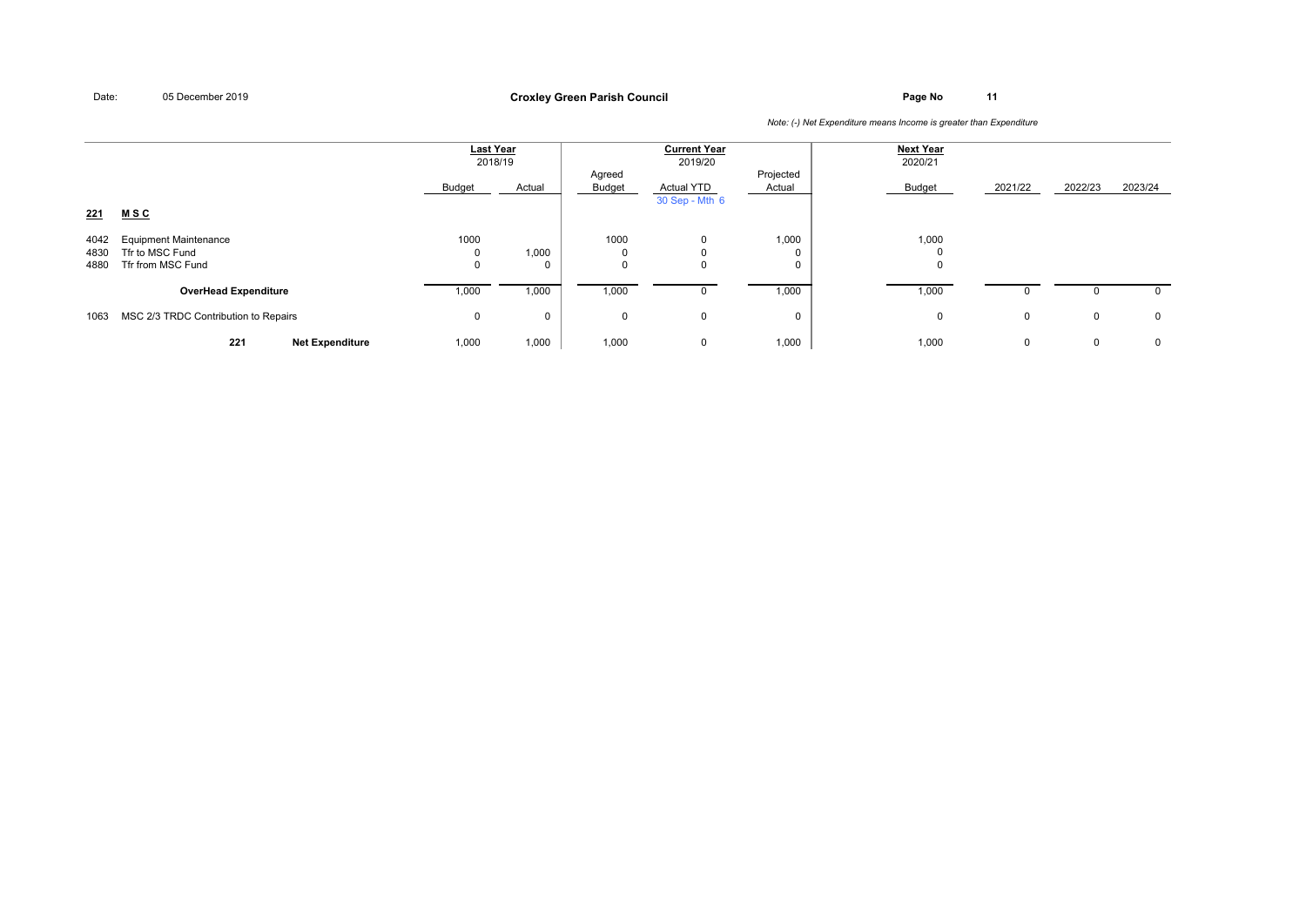## **Page No <sup>11</sup> Croxley Green Parish Council**

|                      |                                                                      | <b>Last Year</b><br>2018/19 |        | <b>Current Year</b><br>2019/20 |                                        |                     | <b>Next Year</b><br>2020/21 |             |         |              |
|----------------------|----------------------------------------------------------------------|-----------------------------|--------|--------------------------------|----------------------------------------|---------------------|-----------------------------|-------------|---------|--------------|
|                      |                                                                      | Budget                      | Actual | Agreed<br>Budget               | <b>Actual YTD</b><br>30 Sep - Mth 6    | Projected<br>Actual | Budget                      | 2021/22     | 2022/23 | 2023/24      |
| 221                  | MSC                                                                  |                             |        |                                |                                        |                     |                             |             |         |              |
| 4042<br>4830<br>4880 | <b>Equipment Maintenance</b><br>Tfr to MSC Fund<br>Tfr from MSC Fund | 1000<br>$\mathbf{0}$<br>0   | 1,000  | 1000<br>0<br>$\mathbf 0$       | $\mathbf 0$<br>$\Omega$<br>$\mathbf 0$ | 1,000               | 1,000<br>0<br>$\mathbf 0$   |             |         |              |
|                      | <b>OverHead Expenditure</b>                                          | 1,000                       | 1,000  | 1,000                          | 0                                      | 1,000               | 1,000                       | 0           |         | $\mathbf{0}$ |
| 1063                 | MSC 2/3 TRDC Contribution to Repairs                                 | 0                           | U      | 0                              | $\mathbf 0$                            | $\Omega$            | $\mathbf{0}$                | $\mathbf 0$ | 0       | $\mathbf 0$  |
|                      | 221<br><b>Net Expenditure</b>                                        | 1,000                       | 1,000  | 1,000                          | $\mathbf 0$                            | 1,000               | 1,000                       | 0           | 0       | 0            |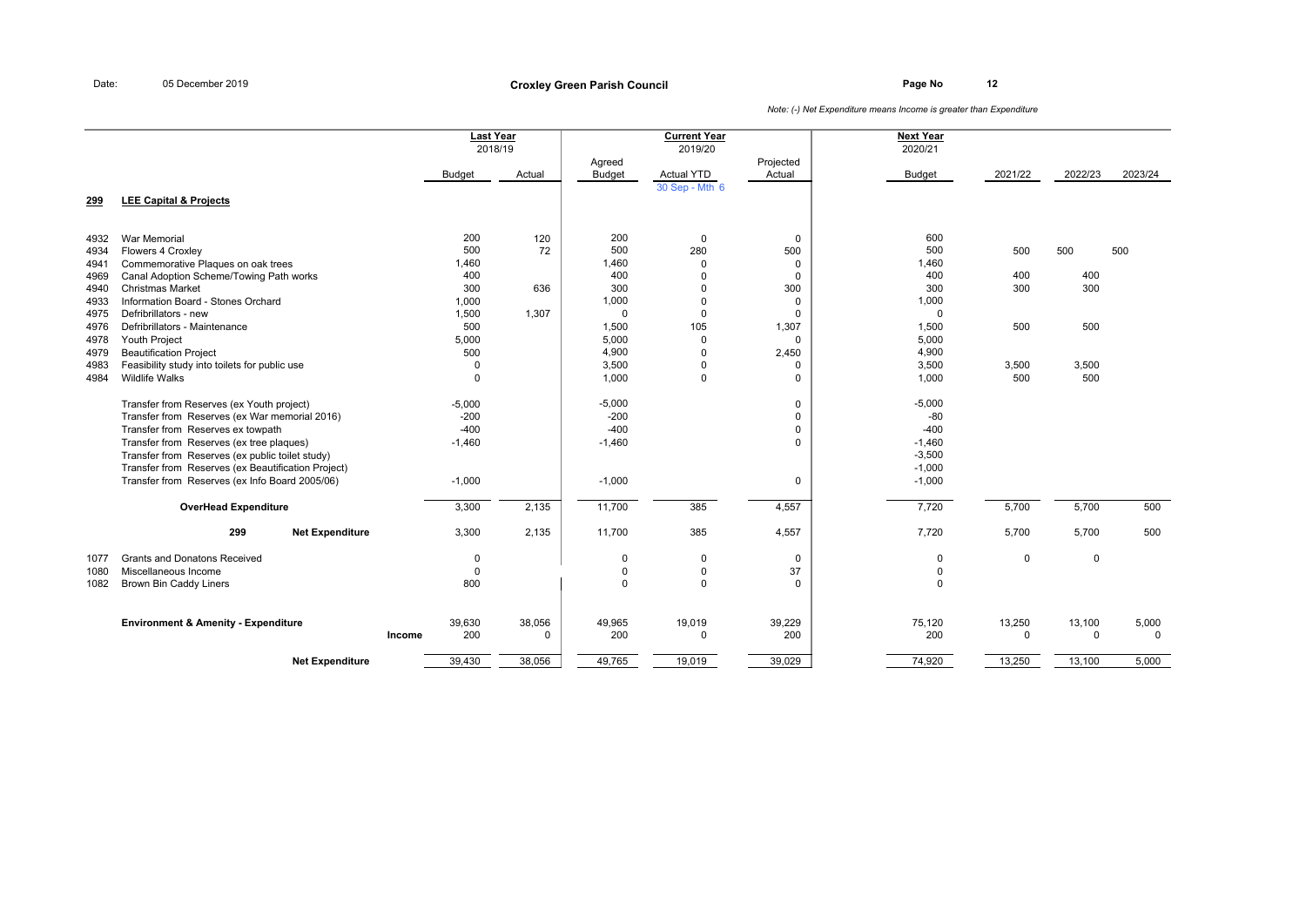**Page No <sup>12</sup> Croxley Green Parish Council**

|              |                                                             |        | <b>Last Year</b> | 2018/19     |                         | <b>Current Year</b><br>2019/20 |                     | <b>Next Year</b><br>2020/21 |             |         |             |
|--------------|-------------------------------------------------------------|--------|------------------|-------------|-------------------------|--------------------------------|---------------------|-----------------------------|-------------|---------|-------------|
|              |                                                             |        | <b>Budget</b>    | Actual      | Agreed<br><b>Budget</b> | <b>Actual YTD</b>              | Projected<br>Actual | <b>Budget</b>               | 2021/22     | 2022/23 | 2023/24     |
| 299          | <b>LEE Capital &amp; Projects</b>                           |        |                  |             |                         | 30 Sep - Mth 6                 |                     |                             |             |         |             |
| 4932         | War Memorial                                                |        | 200              | 120         | 200                     | $\mathbf 0$                    | 0                   | 600                         |             |         |             |
| 4934         | Flowers 4 Croxley                                           |        | 500              | 72          | 500                     | 280                            | 500                 | 500                         | 500         | 500     | 500         |
| 4941         | Commemorative Plaques on oak trees                          |        | 1,460            |             | 1,460                   | $\mathbf 0$                    | 0                   | 1,460                       |             |         |             |
| 4969         | Canal Adoption Scheme/Towing Path works                     |        | 400              |             | 400                     | $\Omega$                       | 0                   | 400                         | 400         | 400     |             |
| 4940         | <b>Christmas Market</b>                                     |        | 300              | 636         | 300                     | 0                              | 300                 | 300                         | 300         | 300     |             |
| 4933         | Information Board - Stones Orchard<br>Defribrillators - new |        | 1,000<br>1,500   | 1,307       | 1,000<br>$\mathbf 0$    | 0<br>$\mathbf 0$               | $\Omega$<br>0       | 1,000                       |             |         |             |
| 4975         | Defribrillators - Maintenance                               |        | 500              |             | 1,500                   | 105                            |                     | $\mathbf 0$<br>1,500        | 500         | 500     |             |
| 4976<br>4978 | Youth Project                                               |        | 5,000            |             | 5,000                   | 0                              | 1,307<br>0          | 5,000                       |             |         |             |
| 4979         | <b>Beautification Project</b>                               |        | 500              |             | 4,900                   | $\mathbf 0$                    | 2,450               | 4,900                       |             |         |             |
| 4983         | Feasibility study into toilets for public use               |        | $\mathbf 0$      |             | 3,500                   | $\mathbf 0$                    | 0                   | 3,500                       | 3,500       | 3,500   |             |
| 4984         | <b>Wildlife Walks</b>                                       |        | $\mathbf 0$      |             | 1,000                   | $\mathbf 0$                    | 0                   | 1,000                       | 500         | 500     |             |
|              | Transfer from Reserves (ex Youth project)                   |        | $-5,000$         |             | $-5,000$                |                                | 0                   | $-5,000$                    |             |         |             |
|              | Transfer from Reserves (ex War memorial 2016)               |        | $-200$           |             | $-200$                  |                                | 0                   | $-80$                       |             |         |             |
|              | Transfer from Reserves ex towpath                           |        | $-400$           |             | $-400$                  |                                | $\mathbf 0$         | $-400$                      |             |         |             |
|              | Transfer from Reserves (ex tree plaques)                    |        | $-1,460$         |             | $-1,460$                |                                | $\Omega$            | $-1,460$                    |             |         |             |
|              | Transfer from Reserves (ex public toilet study)             |        |                  |             |                         |                                |                     | $-3,500$                    |             |         |             |
|              | Transfer from Reserves (ex Beautification Project)          |        |                  |             |                         |                                |                     | $-1,000$                    |             |         |             |
|              | Transfer from Reserves (ex Info Board 2005/06)              |        | $-1,000$         |             | $-1,000$                |                                | 0                   | $-1,000$                    |             |         |             |
|              | <b>OverHead Expenditure</b>                                 |        | 3,300            | 2,135       | 11,700                  | 385                            | 4,557               | 7,720                       | 5,700       | 5,700   | 500         |
|              | 299<br><b>Net Expenditure</b>                               |        | 3,300            | 2,135       | 11,700                  | 385                            | 4,557               | 7,720                       | 5,700       | 5,700   | 500         |
| 1077         | <b>Grants and Donatons Received</b>                         |        | $\mathbf 0$      |             | $\mathbf 0$             | 0                              | 0                   | $\mathbf 0$                 | $\mathbf 0$ | 0       |             |
| 1080         | Miscellaneous Income                                        |        | $\mathbf 0$      |             | 0                       | 0                              | 37                  | $\mathbf 0$                 |             |         |             |
| 1082         | <b>Brown Bin Caddy Liners</b>                               |        | 800              |             | $\Omega$                | $\mathbf 0$                    | $\Omega$            | $\mathbf 0$                 |             |         |             |
|              | <b>Environment &amp; Amenity - Expenditure</b>              |        | 39,630           | 38,056      | 49,965                  | 19,019                         | 39,229              | 75,120                      | 13,250      | 13,100  | 5,000       |
|              |                                                             | Income | 200              | $\mathbf 0$ | 200                     | 0                              | 200                 | 200                         | $\mathbf 0$ | 0       | $\mathbf 0$ |
|              | <b>Net Expenditure</b>                                      |        | 39,430           | 38,056      | 49,765                  | 19,019                         | 39,029              | 74,920                      | 13,250      | 13,100  | 5,000       |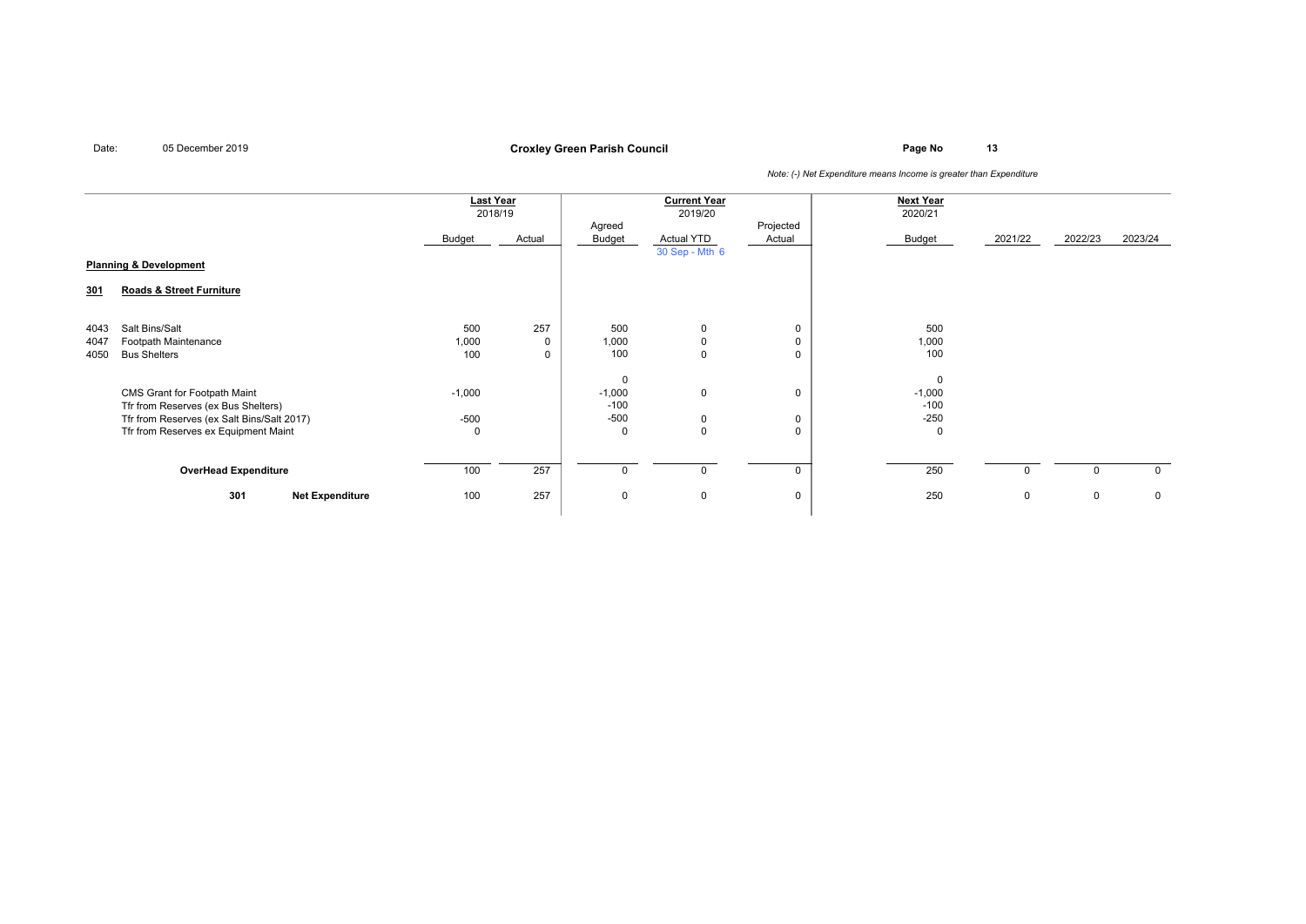**Page No <sup>13</sup> Croxley Green Parish Council**

|                                   |                                            | <b>Last Year</b><br>2018/19 |        | <b>Current Year</b><br>2019/20 |                            |                     | <b>Next Year</b><br>2020/21 |             |             |              |
|-----------------------------------|--------------------------------------------|-----------------------------|--------|--------------------------------|----------------------------|---------------------|-----------------------------|-------------|-------------|--------------|
|                                   |                                            | Budget                      | Actual | Agreed<br>Budget               | Actual YTD                 | Projected<br>Actual | Budget                      | 2021/22     | 2022/23     | 2023/24      |
| <b>Planning &amp; Development</b> |                                            |                             |        |                                | 30 Sep - Mth 6             |                     |                             |             |             |              |
| 301                               | Roads & Street Furniture                   |                             |        |                                |                            |                     |                             |             |             |              |
|                                   | Salt Bins/Salt                             | 500                         | 257    | 500                            |                            |                     | 500                         |             |             |              |
| 4043<br>4047                      | Footpath Maintenance                       | 1,000                       | 0      | 1,000                          | $\mathbf 0$<br>$\mathsf 0$ | 0                   | 1,000                       |             |             |              |
| 4050                              | <b>Bus Shelters</b>                        | 100                         | 0      | 100                            | $\mathbf 0$                |                     | 100                         |             |             |              |
|                                   |                                            |                             |        | $\mathbf 0$                    |                            |                     | $\mathbf 0$                 |             |             |              |
|                                   | CMS Grant for Footpath Maint               | $-1,000$                    |        | $-1,000$                       | $\mathbf 0$                | $\mathbf 0$         | $-1,000$                    |             |             |              |
|                                   | Tfr from Reserves (ex Bus Shelters)        |                             |        | $-100$                         |                            |                     | $-100$                      |             |             |              |
|                                   | Tfr from Reserves (ex Salt Bins/Salt 2017) | $-500$                      |        | $-500$                         | $\mathbf 0$                | 0                   | $-250$                      |             |             |              |
|                                   | Tfr from Reserves ex Equipment Maint       | $\Omega$                    |        | $\mathbf 0$                    | $\mathbf 0$                | $\Omega$            | $\mathbf 0$                 |             |             |              |
|                                   |                                            |                             |        |                                |                            |                     |                             |             |             |              |
|                                   | <b>OverHead Expenditure</b>                | 100                         | 257    | $\mathbf 0$                    | $\mathbf 0$                | $\mathbf{0}$        | 250                         | $\mathbf 0$ | $\mathbf 0$ | $\mathbf{0}$ |
|                                   | 301<br><b>Net Expenditure</b>              | 100                         | 257    | 0                              | $\mathbf 0$                | $\mathbf 0$         | 250                         | $\mathbf 0$ | 0           | $\mathbf 0$  |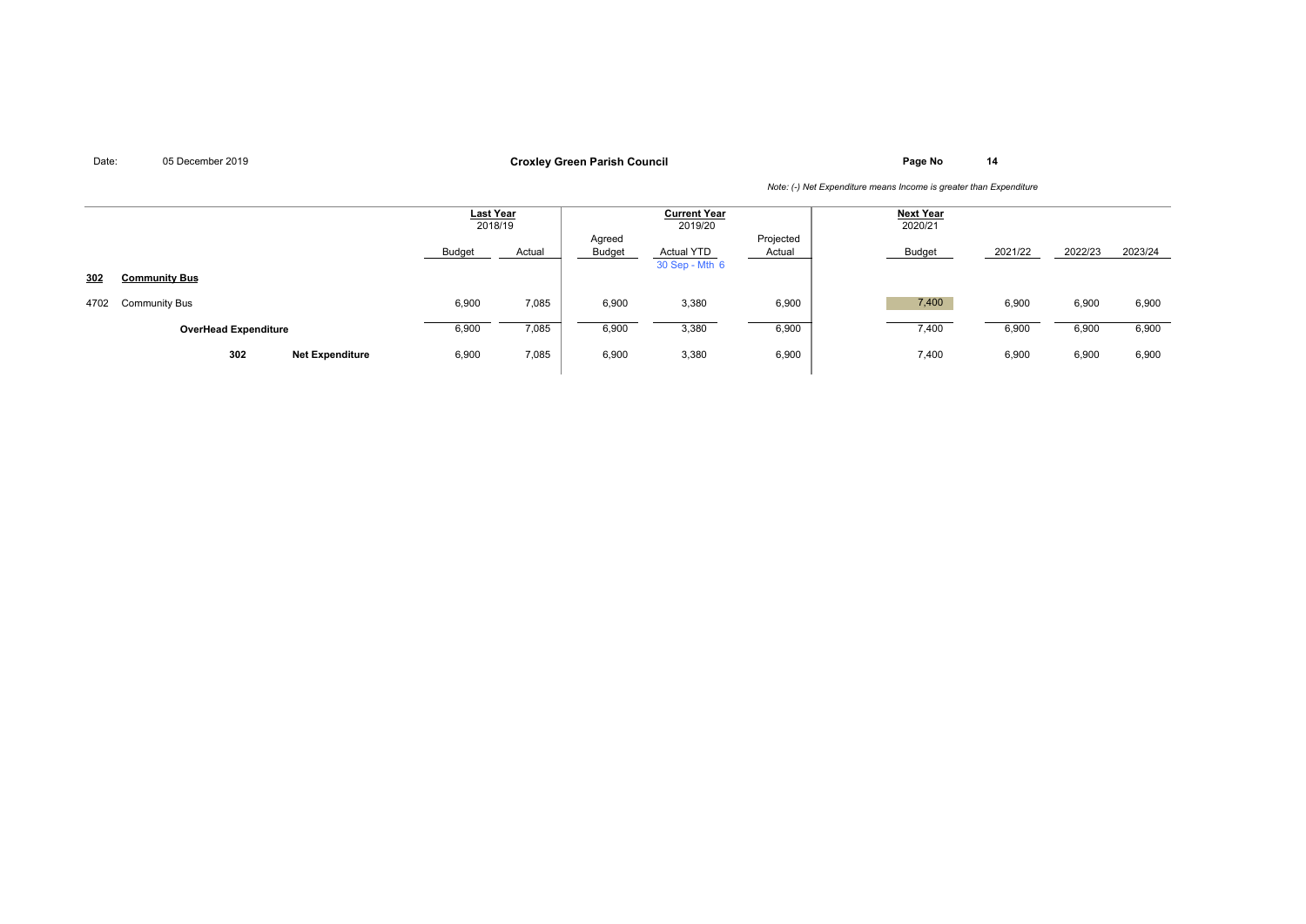## **Page No <sup>14</sup> Croxley Green Parish Council**

|      |                               | <b>Last Year</b><br>2018/19 |        | <b>Current Year</b><br>2019/20 |                              |                     | <b>Next Year</b><br>2020/21 |         |         |         |
|------|-------------------------------|-----------------------------|--------|--------------------------------|------------------------------|---------------------|-----------------------------|---------|---------|---------|
|      |                               | Budget                      | Actual | Agreed<br>Budget               | Actual YTD<br>30 Sep - Mth 6 | Projected<br>Actual | Budget                      | 2021/22 | 2022/23 | 2023/24 |
| 302  | <b>Community Bus</b>          |                             |        |                                |                              |                     |                             |         |         |         |
| 4702 | <b>Community Bus</b>          | 6,900                       | 7,085  | 6,900                          | 3,380                        | 6,900               | 7,400                       | 6,900   | 6,900   | 6,900   |
|      | <b>OverHead Expenditure</b>   | 6,900                       | 7,085  | 6,900                          | 3,380                        | 6,900               | 7,400                       | 6,900   | 6,900   | 6,900   |
|      | 302<br><b>Net Expenditure</b> | 6,900                       | 7,085  | 6,900                          | 3,380                        | 6,900               | 7,400                       | 6,900   | 6,900   | 6,900   |